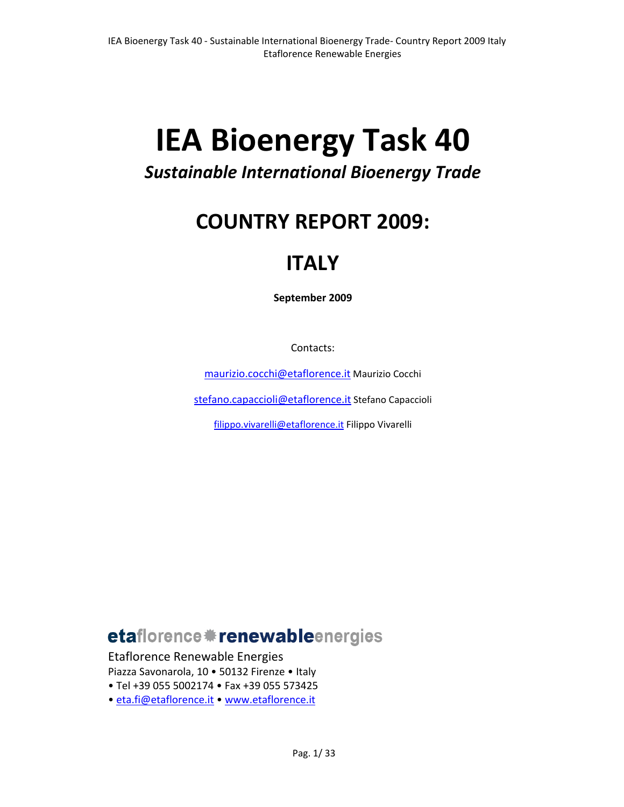# **IEA Bioenergy Task 40**

# *Sustainable International Bioenergy Trade*

# **COUNTRY REPORT 2009:**

# **ITALY**

**September 2009**

Contacts:

maurizio.cocchi@etaflorence.it Maurizio Cocchi

stefano.capaccioli@etaflorence.it Stefano Capaccioli

filippo.vivarelli@etaflorence.it Filippo Vivarelli

# etaflorence \*\* renewableenergies

Etaflorence Renewable Energies

Piazza Savonarola, 10 • 50132 Firenze • Italy

• Tel +39 055 5002174 • Fax +39 055 573425

• eta.fi@etaflorence.it • www.etaflorence.it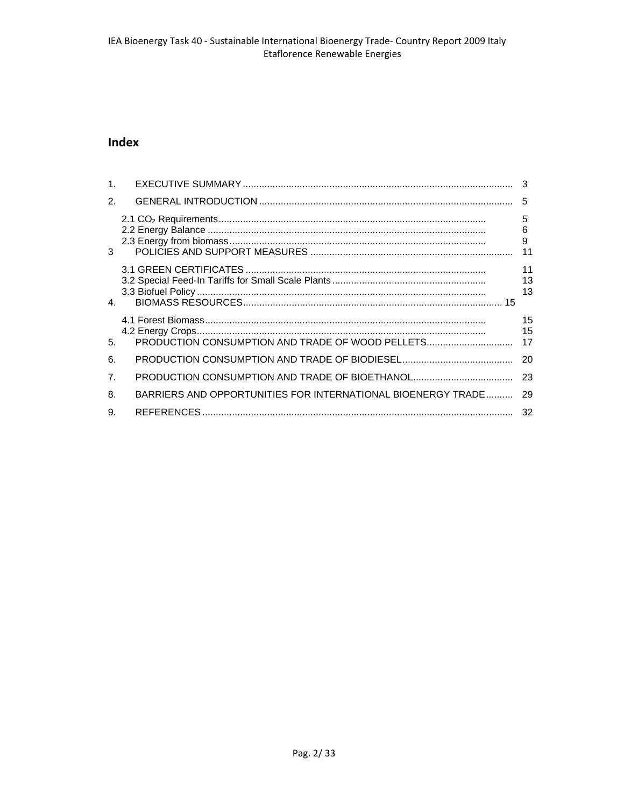# Index

| 1 <sub>1</sub> |                                                              |                 |
|----------------|--------------------------------------------------------------|-----------------|
| 2.             |                                                              |                 |
| 3              |                                                              | 5<br>6<br>9     |
| $\mathbf{4}$   |                                                              | 11<br>13<br>13  |
| 5.             | PRODUCTION CONSUMPTION AND TRADE OF WOOD PELLETS             | 15<br>15<br>-17 |
| 6.             |                                                              | -20             |
| 7 <sub>1</sub> |                                                              |                 |
| 8.             | BARRIERS AND OPPORTUNITIES FOR INTERNATIONAL BIOENERGY TRADE | 29              |
| 9.             |                                                              |                 |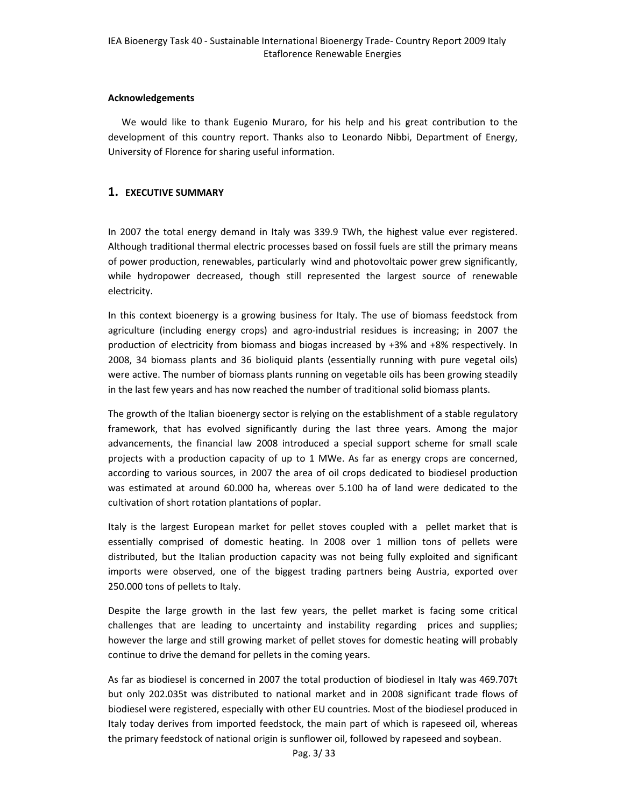#### **Acknowledgements**

We would like to thank Eugenio Muraro, for his help and his great contribution to the development of this country report. Thanks also to Leonardo Nibbi, Department of Energy, University of Florence for sharing useful information.

### **1. EXECUTIVE SUMMARY**

In 2007 the total energy demand in Italy was 339.9 TWh, the highest value ever registered. Although traditional thermal electric processes based on fossil fuels are still the primary means of power production, renewables, particularly wind and photovoltaic power grew significantly, while hydropower decreased, though still represented the largest source of renewable electricity.

In this context bioenergy is a growing business for Italy. The use of biomass feedstock from agriculture (including energy crops) and agro‐industrial residues is increasing; in 2007 the production of electricity from biomass and biogas increased by +3% and +8% respectively. In 2008, 34 biomass plants and 36 bioliquid plants (essentially running with pure vegetal oils) were active. The number of biomass plants running on vegetable oils has been growing steadily in the last few years and has now reached the number of traditional solid biomass plants.

The growth of the Italian bioenergy sector is relying on the establishment of a stable regulatory framework, that has evolved significantly during the last three years. Among the major advancements, the financial law 2008 introduced a special support scheme for small scale projects with a production capacity of up to 1 MWe. As far as energy crops are concerned, according to various sources, in 2007 the area of oil crops dedicated to biodiesel production was estimated at around 60.000 ha, whereas over 5.100 ha of land were dedicated to the cultivation of short rotation plantations of poplar.

Italy is the largest European market for pellet stoves coupled with a pellet market that is essentially comprised of domestic heating. In 2008 over 1 million tons of pellets were distributed, but the Italian production capacity was not being fully exploited and significant imports were observed, one of the biggest trading partners being Austria, exported over 250.000 tons of pellets to Italy.

Despite the large growth in the last few years, the pellet market is facing some critical challenges that are leading to uncertainty and instability regarding prices and supplies; however the large and still growing market of pellet stoves for domestic heating will probably continue to drive the demand for pellets in the coming years.

As far as biodiesel is concerned in 2007 the total production of biodiesel in Italy was 469.707t but only 202.035t was distributed to national market and in 2008 significant trade flows of biodiesel were registered, especially with other EU countries. Most of the biodiesel produced in Italy today derives from imported feedstock, the main part of which is rapeseed oil, whereas the primary feedstock of national origin is sunflower oil, followed by rapeseed and soybean.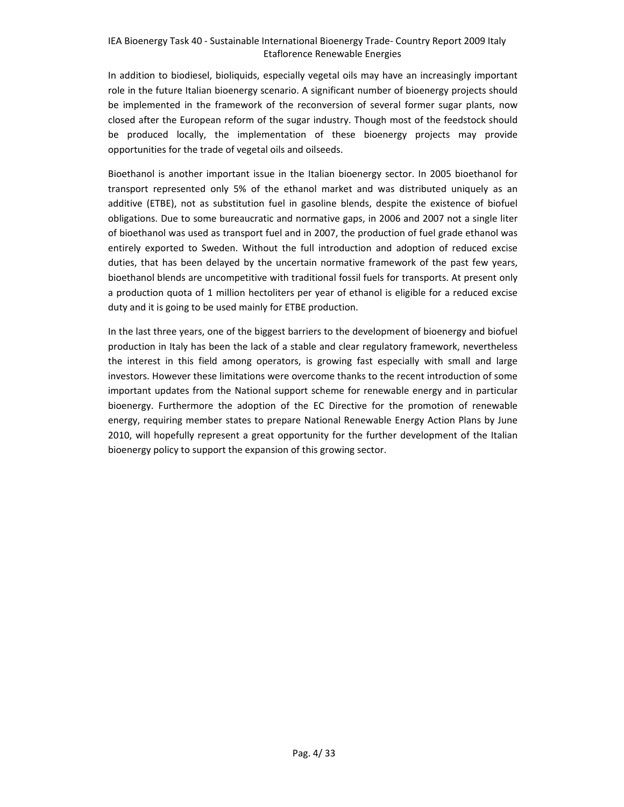In addition to biodiesel, bioliquids, especially vegetal oils may have an increasingly important role in the future Italian bioenergy scenario. A significant number of bioenergy projects should be implemented in the framework of the reconversion of several former sugar plants, now closed after the European reform of the sugar industry. Though most of the feedstock should be produced locally, the implementation of these bioenergy projects may provide opportunities for the trade of vegetal oils and oilseeds.

Bioethanol is another important issue in the Italian bioenergy sector. In 2005 bioethanol for transport represented only 5% of the ethanol market and was distributed uniquely as an additive (ETBE), not as substitution fuel in gasoline blends, despite the existence of biofuel obligations. Due to some bureaucratic and normative gaps, in 2006 and 2007 not a single liter of bioethanol was used as transport fuel and in 2007, the production of fuel grade ethanol was entirely exported to Sweden. Without the full introduction and adoption of reduced excise duties, that has been delayed by the uncertain normative framework of the past few years, bioethanol blends are uncompetitive with traditional fossil fuels for transports. At present only a production quota of 1 million hectoliters per year of ethanol is eligible for a reduced excise duty and it is going to be used mainly for ETBE production.

In the last three years, one of the biggest barriers to the development of bioenergy and biofuel production in Italy has been the lack of a stable and clear regulatory framework, nevertheless the interest in this field among operators, is growing fast especially with small and large investors. However these limitations were overcome thanks to the recent introduction of some important updates from the National support scheme for renewable energy and in particular bioenergy. Furthermore the adoption of the EC Directive for the promotion of renewable energy, requiring member states to prepare National Renewable Energy Action Plans by June 2010, will hopefully represent a great opportunity for the further development of the Italian bioenergy policy to support the expansion of this growing sector.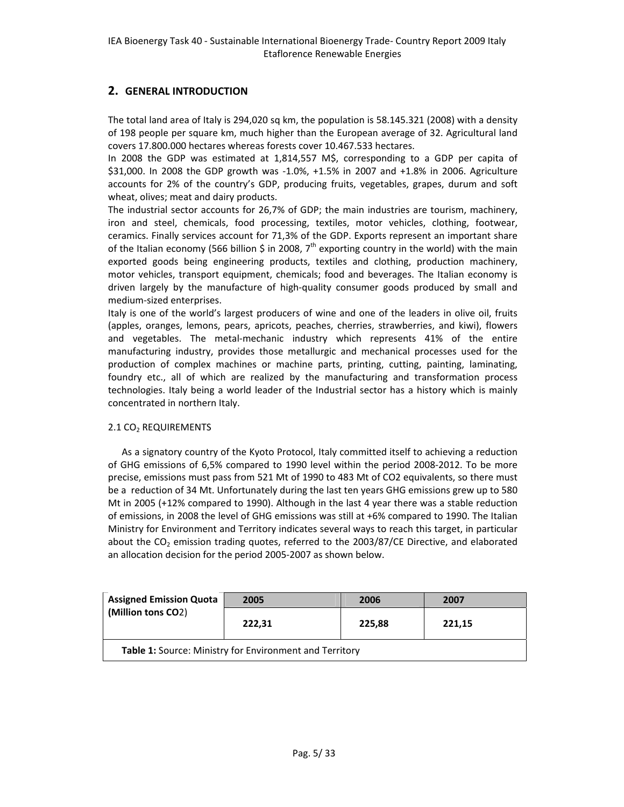# **2. GENERAL INTRODUCTION**

The total land area of Italy is 294,020 sq km, the population is 58.145.321 (2008) with a density of 198 people per square km, much higher than the European average of 32. Agricultural land covers 17.800.000 hectares whereas forests cover 10.467.533 hectares.

In 2008 the GDP was estimated at 1,814,557 M\$, corresponding to a GDP per capita of \$31,000. In 2008 the GDP growth was -1.0%, +1.5% in 2007 and +1.8% in 2006. Agriculture accounts for 2% of the country's GDP, producing fruits, vegetables, grapes, durum and soft wheat, olives; meat and dairy products.

The industrial sector accounts for 26,7% of GDP; the main industries are tourism, machinery, iron and steel, chemicals, food processing, textiles, motor vehicles, clothing, footwear, ceramics. Finally services account for 71,3% of the GDP. Exports represent an important share of the Italian economy (566 billion \$ in 2008,  $7<sup>th</sup>$  exporting country in the world) with the main exported goods being engineering products, textiles and clothing, production machinery, motor vehicles, transport equipment, chemicals; food and beverages. The Italian economy is driven largely by the manufacture of high‐quality consumer goods produced by small and medium‐sized enterprises.

Italy is one of the world's largest producers of wine and one of the leaders in olive oil, fruits (apples, oranges, lemons, pears, apricots, peaches, cherries, strawberries, and kiwi), flowers and vegetables. The metal‐mechanic industry which represents 41% of the entire manufacturing industry, provides those metallurgic and mechanical processes used for the production of complex machines or machine parts, printing, cutting, painting, laminating, foundry etc., all of which are realized by the manufacturing and transformation process technologies. Italy being a world leader of the Industrial sector has a history which is mainly concentrated in northern Italy.

#### 2.1 CO2 REQUIREMENTS

As a signatory country of the Kyoto Protocol, Italy committed itself to achieving a reduction of GHG emissions of 6,5% compared to 1990 level within the period 2008‐2012. To be more precise, emissions must pass from 521 Mt of 1990 to 483 Mt of CO2 equivalents, so there must be a reduction of 34 Mt. Unfortunately during the last ten years GHG emissions grew up to 580 Mt in 2005 (+12% compared to 1990). Although in the last 4 year there was a stable reduction of emissions, in 2008 the level of GHG emissions was still at +6% compared to 1990. The Italian Ministry for Environment and Territory indicates several ways to reach this target, in particular about the  $CO<sub>2</sub>$  emission trading quotes, referred to the 2003/87/CE Directive, and elaborated an allocation decision for the period 2005‐2007 as shown below.

| <b>Assigned Emission Quota</b> | 2005                                                    | 2006   | 2007   |
|--------------------------------|---------------------------------------------------------|--------|--------|
| (Million tons CO2)             | 222.31                                                  | 225.88 | 221,15 |
|                                | Table 1: Source: Ministry for Environment and Territory |        |        |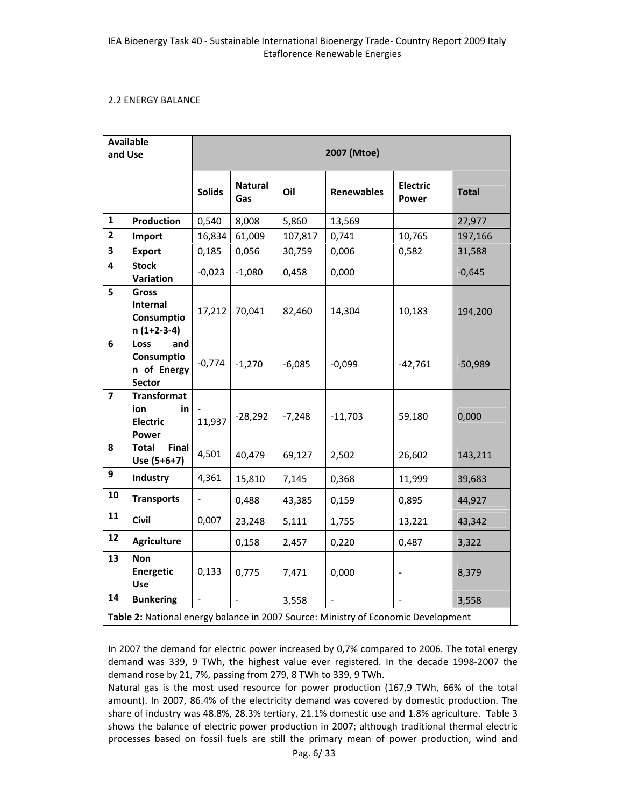#### 2.2 ENERGY BALANCE

| <b>Available</b><br>and Use |                                                               | 2007 (Mtoe)   |                       |          |                                                                                   |                          |              |  |
|-----------------------------|---------------------------------------------------------------|---------------|-----------------------|----------|-----------------------------------------------------------------------------------|--------------------------|--------------|--|
|                             |                                                               | <b>Solids</b> | <b>Natural</b><br>Gas | Oil      | <b>Renewables</b>                                                                 | <b>Electric</b><br>Power | <b>Total</b> |  |
| 1                           | Production                                                    | 0,540         | 8,008                 | 5,860    | 13,569                                                                            |                          | 27,977       |  |
| $\overline{2}$              | Import                                                        | 16,834        | 61,009                | 107,817  | 0,741                                                                             | 10,765                   | 197,166      |  |
| 3                           | <b>Export</b>                                                 | 0,185         | 0,056                 | 30,759   | 0,006                                                                             | 0,582                    | 31,588       |  |
| 4                           | <b>Stock</b><br>Variation                                     | $-0,023$      | $-1,080$              | 0,458    | 0,000                                                                             |                          | $-0,645$     |  |
| 5                           | <b>Gross</b><br><b>Internal</b><br>Consumptio<br>$n(1+2-3-4)$ | 17,212        | 70,041                | 82,460   | 14,304                                                                            | 10,183                   | 194,200      |  |
| 6                           | Loss<br>and<br>Consumptio<br>n of Energy<br><b>Sector</b>     | $-0,774$      | $-1,270$              | $-6,085$ | $-0,099$                                                                          | $-42,761$                | $-50,989$    |  |
| $\overline{\mathbf{z}}$     | <b>Transformat</b><br>ion<br>in<br><b>Electric</b><br>Power   | 11,937        | $-28,292$             | $-7,248$ | $-11,703$                                                                         | 59,180                   | 0,000        |  |
| 8                           | <b>Total</b><br>Final<br>Use $(5+6+7)$                        | 4,501         | 40,479                | 69,127   | 2,502                                                                             | 26,602                   | 143,211      |  |
| 9                           | Industry                                                      | 4,361         | 15,810                | 7,145    | 0,368                                                                             | 11,999                   | 39,683       |  |
| 10                          | <b>Transports</b>                                             |               | 0,488                 | 43,385   | 0,159                                                                             | 0,895                    | 44,927       |  |
| 11                          | <b>Civil</b>                                                  | 0,007         | 23,248                | 5,111    | 1,755                                                                             | 13,221                   | 43,342       |  |
| 12                          | <b>Agriculture</b>                                            |               | 0,158                 | 2,457    | 0,220                                                                             | 0,487                    | 3,322        |  |
| 13                          | <b>Non</b><br>Energetic<br><b>Use</b>                         | 0,133         | 0,775                 | 7,471    | 0,000                                                                             |                          | 8,379        |  |
| 14                          | <b>Bunkering</b>                                              |               |                       | 3,558    |                                                                                   |                          | 3,558        |  |
|                             |                                                               |               |                       |          | Table 2: National energy balance in 2007 Source: Ministry of Economic Development |                          |              |  |

In 2007 the demand for electric power increased by 0,7% compared to 2006. The total energy demand was 339, 9 TWh, the highest value ever registered. In the decade 1998‐2007 the demand rose by 21, 7%, passing from 279, 8 TWh to 339, 9 TWh.

Natural gas is the most used resource for power production (167,9 TWh, 66% of the total amount). In 2007, 86.4% of the electricity demand was covered by domestic production. The share of industry was 48.8%, 28.3% tertiary, 21.1% domestic use and 1.8% agriculture. Table 3 shows the balance of electric power production in 2007; although traditional thermal electric processes based on fossil fuels are still the primary mean of power production, wind and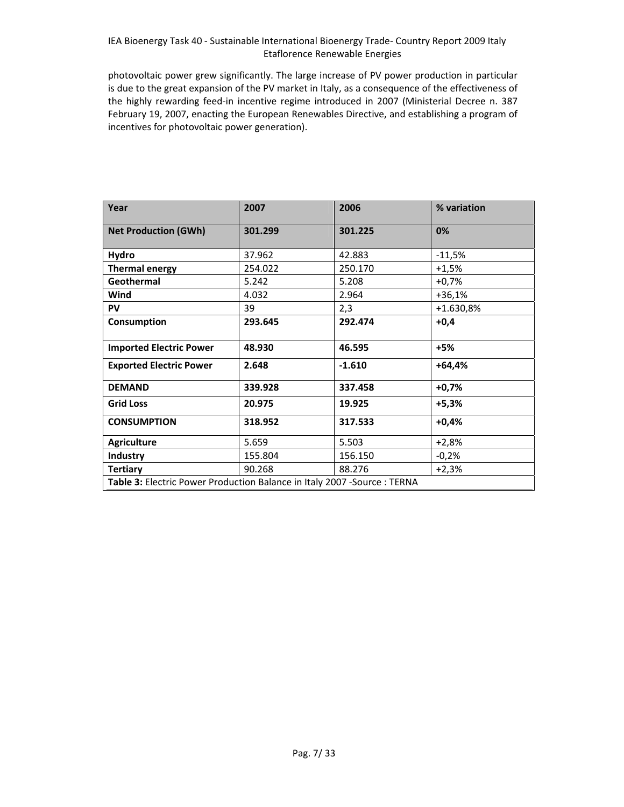photovoltaic power grew significantly. The large increase of PV power production in particular is due to the great expansion of the PV market in Italy, as a consequence of the effectiveness of the highly rewarding feed‐in incentive regime introduced in 2007 (Ministerial Decree n. 387 February 19, 2007, enacting the European Renewables Directive, and establishing a program of incentives for photovoltaic power generation).

| Year                                                                      | 2007    | 2006     | % variation |
|---------------------------------------------------------------------------|---------|----------|-------------|
| <b>Net Production (GWh)</b>                                               | 301.299 | 301.225  | 0%          |
| Hydro                                                                     | 37.962  | 42.883   | $-11,5%$    |
| <b>Thermal energy</b>                                                     | 254.022 | 250.170  | $+1,5%$     |
| Geothermal                                                                | 5.242   | 5.208    | $+0,7%$     |
| Wind                                                                      | 4.032   | 2.964    | $+36,1%$    |
| PV                                                                        | 39      | 2,3      | +1.630,8%   |
| Consumption                                                               | 293.645 | 292.474  | $+0,4$      |
| <b>Imported Electric Power</b>                                            | 48.930  | 46.595   | $+5%$       |
| <b>Exported Electric Power</b>                                            | 2.648   | $-1.610$ | $+64,4%$    |
| <b>DEMAND</b>                                                             | 339.928 | 337.458  | $+0,7%$     |
| <b>Grid Loss</b>                                                          | 20.975  | 19.925   | $+5,3%$     |
| <b>CONSUMPTION</b>                                                        | 318.952 | 317.533  | $+0,4%$     |
| <b>Agriculture</b>                                                        | 5.659   | 5.503    | $+2,8%$     |
| Industry                                                                  | 155.804 | 156.150  | $-0,2%$     |
| <b>Tertiary</b>                                                           | 90.268  | 88.276   | $+2,3%$     |
| Table 3: Electric Power Production Balance in Italy 2007 - Source : TERNA |         |          |             |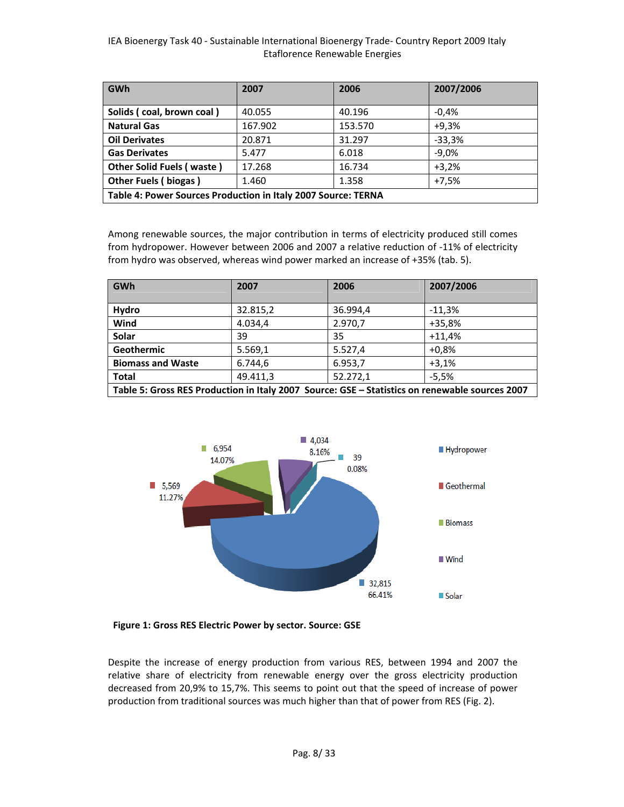| <b>GWh</b>                                                    | 2007    | 2006    | 2007/2006 |  |  |  |  |
|---------------------------------------------------------------|---------|---------|-----------|--|--|--|--|
|                                                               |         |         |           |  |  |  |  |
| Solids (coal, brown coal)                                     | 40.055  | 40.196  | $-0.4%$   |  |  |  |  |
| <b>Natural Gas</b>                                            | 167.902 | 153.570 | $+9.3%$   |  |  |  |  |
| <b>Oil Derivates</b>                                          | 20.871  | 31.297  | $-33,3%$  |  |  |  |  |
| <b>Gas Derivates</b>                                          | 5.477   | 6.018   | $-9.0%$   |  |  |  |  |
| <b>Other Solid Fuels (waste)</b>                              | 17.268  | 16.734  | $+3.2%$   |  |  |  |  |
| Other Fuels (biogas)                                          | 1.460   | 1.358   | $+7.5%$   |  |  |  |  |
| Table 4: Power Sources Production in Italy 2007 Source: TERNA |         |         |           |  |  |  |  |

Among renewable sources, the major contribution in terms of electricity produced still comes from hydropower. However between 2006 and 2007 a relative reduction of ‐11% of electricity from hydro was observed, whereas wind power marked an increase of +35% (tab. 5).

| GWh                                                                                            | 2007     | 2006     | 2007/2006 |  |  |  |  |
|------------------------------------------------------------------------------------------------|----------|----------|-----------|--|--|--|--|
|                                                                                                |          |          |           |  |  |  |  |
| Hydro                                                                                          | 32.815,2 | 36.994,4 | $-11,3%$  |  |  |  |  |
| Wind                                                                                           | 4.034,4  | 2.970,7  | $+35,8%$  |  |  |  |  |
| Solar                                                                                          | 39       | 35       | $+11.4%$  |  |  |  |  |
| Geothermic                                                                                     | 5.569,1  | 5.527,4  | $+0.8%$   |  |  |  |  |
| <b>Biomass and Waste</b>                                                                       | 6.744,6  | 6.953,7  | $+3.1%$   |  |  |  |  |
| <b>Total</b>                                                                                   | 49.411,3 | 52.272,1 | $-5.5%$   |  |  |  |  |
| Table 5: Gross RES Production in Italy 2007 Source: GSE - Statistics on renewable sources 2007 |          |          |           |  |  |  |  |



**Figure 1: Gross RES Electric Power by sector. Source: GSE**

Despite the increase of energy production from various RES, between 1994 and 2007 the relative share of electricity from renewable energy over the gross electricity production decreased from 20,9% to 15,7%. This seems to point out that the speed of increase of power production from traditional sources was much higher than that of power from RES (Fig. 2).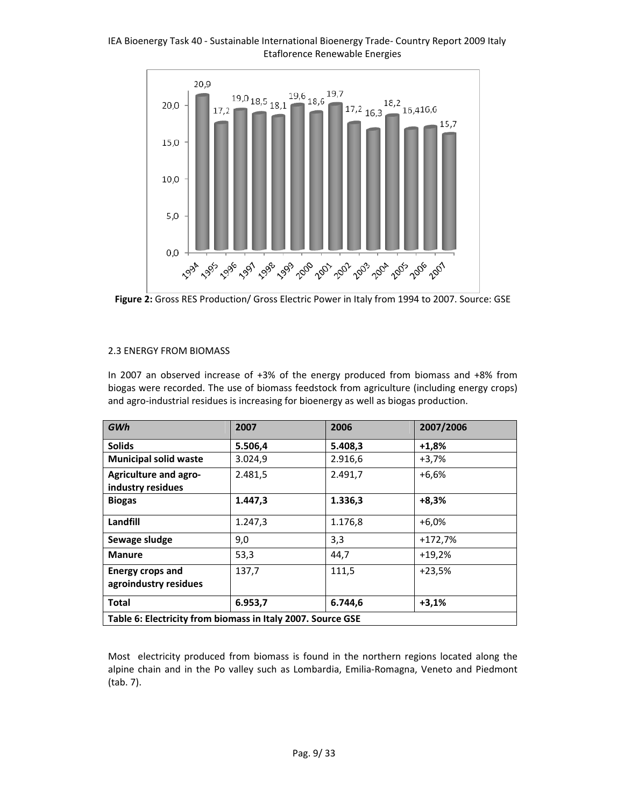

**Figure 2:** Gross RES Production/ Gross Electric Power in Italy from 1994 to 2007. Source: GSE

#### 2.3 ENERGY FROM BIOMASS

In 2007 an observed increase of +3% of the energy produced from biomass and +8% from biogas were recorded. The use of biomass feedstock from agriculture (including energy crops) and agro‐industrial residues is increasing for bioenergy as well as biogas production.

| GWh                                                         | 2007    | 2006    | 2007/2006 |  |  |  |
|-------------------------------------------------------------|---------|---------|-----------|--|--|--|
| <b>Solids</b>                                               | 5.506,4 | 5.408,3 | $+1,8%$   |  |  |  |
| <b>Municipal solid waste</b>                                | 3.024,9 | 2.916,6 | $+3,7%$   |  |  |  |
| <b>Agriculture and agro-</b><br>industry residues           | 2.481,5 | 2.491,7 | $+6,6%$   |  |  |  |
| <b>Biogas</b>                                               | 1.447,3 | 1.336,3 | $+8,3%$   |  |  |  |
| Landfill                                                    | 1.247,3 | 1.176,8 | $+6,0%$   |  |  |  |
| Sewage sludge                                               | 9,0     | 3,3     | $+172,7%$ |  |  |  |
| <b>Manure</b>                                               | 53,3    | 44,7    | $+19,2%$  |  |  |  |
| <b>Energy crops and</b><br>agroindustry residues            | 137,7   | 111,5   | $+23,5%$  |  |  |  |
| <b>Total</b>                                                | 6.953,7 | 6.744,6 | $+3,1%$   |  |  |  |
| Table 6: Electricity from biomass in Italy 2007. Source GSE |         |         |           |  |  |  |

Most electricity produced from biomass is found in the northern regions located along the alpine chain and in the Po valley such as Lombardia, Emilia‐Romagna, Veneto and Piedmont (tab. 7).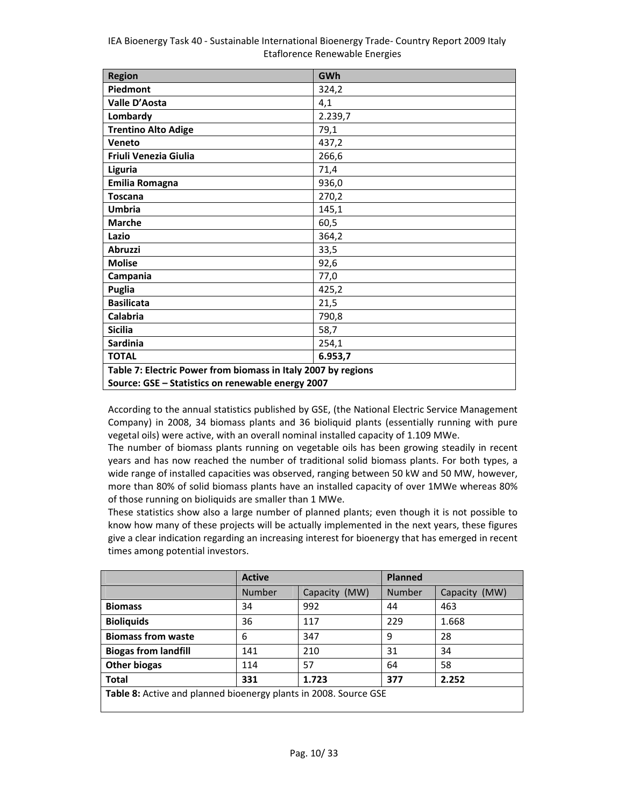| <b>Region</b>                                                 | GWh     |  |  |  |  |
|---------------------------------------------------------------|---------|--|--|--|--|
| Piedmont                                                      | 324,2   |  |  |  |  |
| Valle D'Aosta                                                 | 4,1     |  |  |  |  |
| Lombardy                                                      | 2.239,7 |  |  |  |  |
| <b>Trentino Alto Adige</b>                                    | 79,1    |  |  |  |  |
| Veneto                                                        | 437,2   |  |  |  |  |
| Friuli Venezia Giulia                                         | 266,6   |  |  |  |  |
| Liguria                                                       | 71,4    |  |  |  |  |
| <b>Emilia Romagna</b>                                         | 936,0   |  |  |  |  |
| <b>Toscana</b>                                                | 270,2   |  |  |  |  |
| <b>Umbria</b>                                                 | 145,1   |  |  |  |  |
| <b>Marche</b>                                                 | 60,5    |  |  |  |  |
| Lazio                                                         | 364,2   |  |  |  |  |
| <b>Abruzzi</b>                                                | 33,5    |  |  |  |  |
| <b>Molise</b>                                                 | 92,6    |  |  |  |  |
| Campania                                                      | 77,0    |  |  |  |  |
| Puglia                                                        | 425,2   |  |  |  |  |
| <b>Basilicata</b>                                             | 21,5    |  |  |  |  |
| Calabria                                                      | 790,8   |  |  |  |  |
| <b>Sicilia</b>                                                | 58,7    |  |  |  |  |
| <b>Sardinia</b>                                               | 254,1   |  |  |  |  |
| <b>TOTAL</b>                                                  | 6.953,7 |  |  |  |  |
| Table 7: Electric Power from biomass in Italy 2007 by regions |         |  |  |  |  |
| Source: GSE - Statistics on renewable energy 2007             |         |  |  |  |  |

According to the annual statistics published by GSE, (the National Electric Service Management Company) in 2008, 34 biomass plants and 36 bioliquid plants (essentially running with pure vegetal oils) were active, with an overall nominal installed capacity of 1.109 MWe.

The number of biomass plants running on vegetable oils has been growing steadily in recent years and has now reached the number of traditional solid biomass plants. For both types, a wide range of installed capacities was observed, ranging between 50 kW and 50 MW, however, more than 80% of solid biomass plants have an installed capacity of over 1MWe whereas 80% of those running on bioliquids are smaller than 1 MWe.

These statistics show also a large number of planned plants; even though it is not possible to know how many of these projects will be actually implemented in the next years, these figures give a clear indication regarding an increasing interest for bioenergy that has emerged in recent times among potential investors.

|                                                                  | <b>Active</b> |               | <b>Planned</b> |                  |  |  |
|------------------------------------------------------------------|---------------|---------------|----------------|------------------|--|--|
|                                                                  | <b>Number</b> | Capacity (MW) | <b>Number</b>  | (MW)<br>Capacity |  |  |
| <b>Biomass</b>                                                   | 34            | 992           | 44             | 463              |  |  |
| <b>Bioliquids</b>                                                | 36            | 117           | 229            | 1.668            |  |  |
| <b>Biomass from waste</b>                                        | 6             | 347           | 9              | 28               |  |  |
| <b>Biogas from landfill</b>                                      | 141           | 210           | 31             | 34               |  |  |
| <b>Other biogas</b>                                              | 114           | 57            | 64             | 58               |  |  |
| <b>Total</b>                                                     | 331           | 1.723         | 377            | 2.252            |  |  |
| Table 8: Active and planned bioenergy plants in 2008. Source GSE |               |               |                |                  |  |  |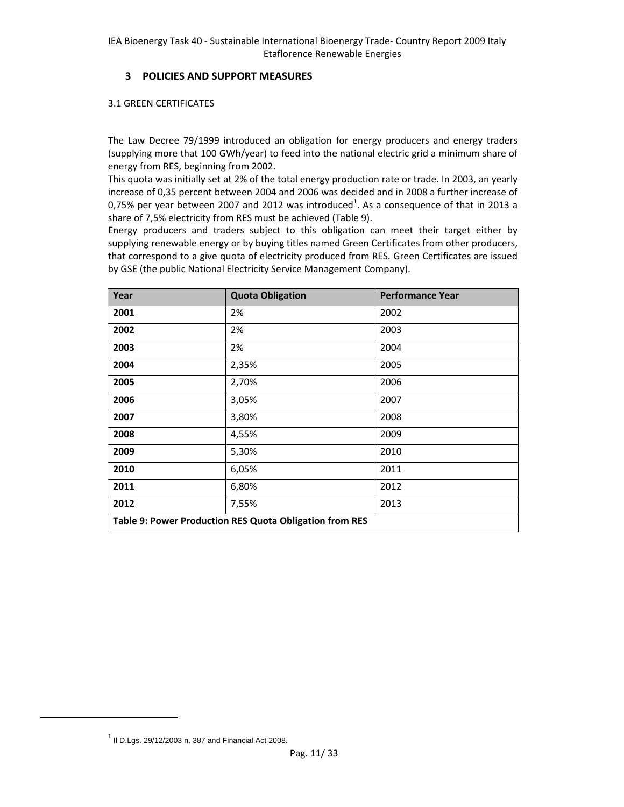### **3 POLICIES AND SUPPORT MEASURES**

#### 3.1 GREEN CERTIFICATES

The Law Decree 79/1999 introduced an obligation for energy producers and energy traders (supplying more that 100 GWh/year) to feed into the national electric grid a minimum share of energy from RES, beginning from 2002.

This quota was initially set at 2% of the total energy production rate or trade. In 2003, an yearly increase of 0,35 percent between 2004 and 2006 was decided and in 2008 a further increase of 0,75% per year between 2007 and 2012 was introduced<sup>1</sup>. As a consequence of that in 2013 a share of 7,5% electricity from RES must be achieved (Table 9).

Energy producers and traders subject to this obligation can meet their target either by supplying renewable energy or by buying titles named Green Certificates from other producers, that correspond to a give quota of electricity produced from RES. Green Certificates are issued by GSE (the public National Electricity Service Management Company).

| Year                                                    | <b>Quota Obligation</b> | <b>Performance Year</b> |  |  |  |  |
|---------------------------------------------------------|-------------------------|-------------------------|--|--|--|--|
| 2001                                                    | 2%                      | 2002                    |  |  |  |  |
| 2002                                                    | 2%                      | 2003                    |  |  |  |  |
| 2003                                                    | 2%                      | 2004                    |  |  |  |  |
| 2004                                                    | 2,35%                   | 2005                    |  |  |  |  |
| 2005                                                    | 2,70%                   | 2006                    |  |  |  |  |
| 2006                                                    | 3,05%                   | 2007                    |  |  |  |  |
| 2007                                                    | 3,80%                   | 2008                    |  |  |  |  |
| 2008                                                    | 4,55%                   | 2009                    |  |  |  |  |
| 2009                                                    | 5,30%                   | 2010                    |  |  |  |  |
| 2010                                                    | 6,05%                   | 2011                    |  |  |  |  |
| 2011                                                    | 6,80%                   | 2012                    |  |  |  |  |
| 2012                                                    | 7,55%                   | 2013                    |  |  |  |  |
| Table 9: Power Production RES Quota Obligation from RES |                         |                         |  |  |  |  |

 $1$  Il D.Lgs. 29/12/2003 n. 387 and Financial Act 2008.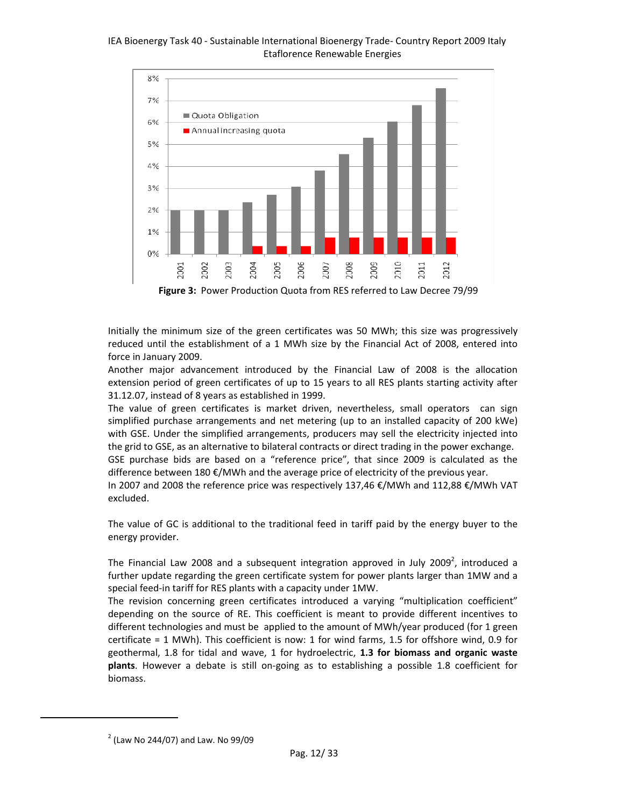

**Figure 3:** Power Production Quota from RES referred to Law Decree 79/99

Initially the minimum size of the green certificates was 50 MWh; this size was progressively reduced until the establishment of a 1 MWh size by the Financial Act of 2008, entered into force in January 2009.

Another major advancement introduced by the Financial Law of 2008 is the allocation extension period of green certificates of up to 15 years to all RES plants starting activity after 31.12.07, instead of 8 years as established in 1999.

The value of green certificates is market driven, nevertheless, small operators can sign simplified purchase arrangements and net metering (up to an installed capacity of 200 kWe) with GSE. Under the simplified arrangements, producers may sell the electricity injected into the grid to GSE, as an alternative to bilateral contracts or direct trading in the power exchange.

GSE purchase bids are based on a "reference price", that since 2009 is calculated as the difference between 180  $\epsilon$ /MWh and the average price of electricity of the previous year.

In 2007 and 2008 the reference price was respectively 137,46 €/MWh and 112,88 €/MWh VAT excluded.

The value of GC is additional to the traditional feed in tariff paid by the energy buyer to the energy provider.

The Financial Law 2008 and a subsequent integration approved in July 2009<sup>2</sup>, introduced a further update regarding the green certificate system for power plants larger than 1MW and a special feed-in tariff for RES plants with a capacity under 1MW.

The revision concerning green certificates introduced a varying "multiplication coefficient" depending on the source of RE. This coefficient is meant to provide different incentives to different technologies and must be applied to the amount of MWh/year produced (for 1 green certificate = 1 MWh). This coefficient is now: 1 for wind farms, 1.5 for offshore wind, 0.9 for geothermal, 1.8 for tidal and wave, 1 for hydroelectric, **1.3 for biomass and organic waste plants**. However a debate is still on‐going as to establishing a possible 1.8 coefficient for biomass.

 $2$  (Law No 244/07) and Law. No 99/09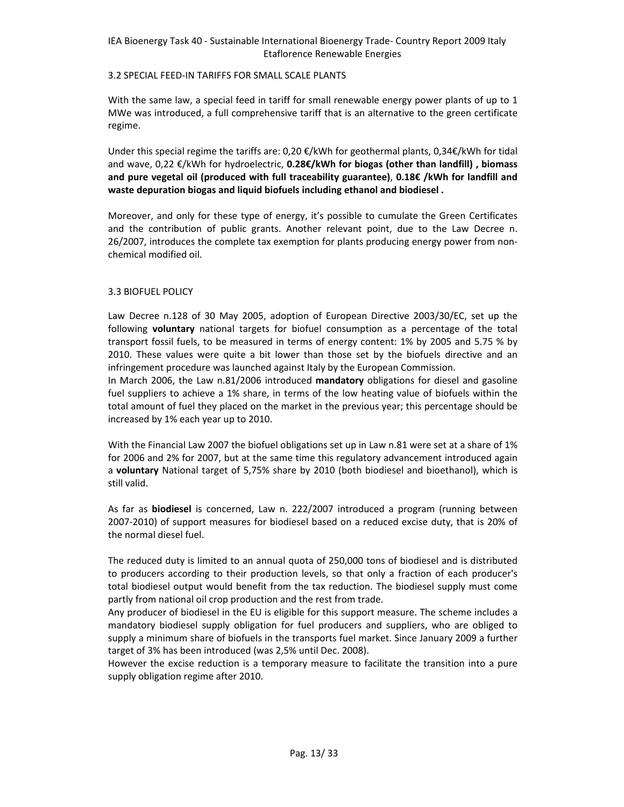#### 3.2 SPECIAL FEED‐IN TARIFFS FOR SMALL SCALE PLANTS

With the same law, a special feed in tariff for small renewable energy power plants of up to 1 MWe was introduced, a full comprehensive tariff that is an alternative to the green certificate regime.

Under this special regime the tariffs are: 0,20 €/kWh for geothermal plants, 0,34€/kWh for tidal and wave, 0,22 €/kWh for hydroelectric, **0.28€/kWh for biogas (other than landfill) , biomass and pure vegetal oil (produced with full traceability guarantee)**, **0.18€ /kWh for landfill and waste depuration biogas and liquid biofuels including ethanol and biodiesel .**

Moreover, and only for these type of energy, it's possible to cumulate the Green Certificates and the contribution of public grants. Another relevant point, due to the Law Decree n. 26/2007, introduces the complete tax exemption for plants producing energy power from non‐ chemical modified oil.

#### 3.3 BIOFUEL POLICY

Law Decree n.128 of 30 May 2005, adoption of European Directive 2003/30/EC, set up the following **voluntary** national targets for biofuel consumption as a percentage of the total transport fossil fuels, to be measured in terms of energy content: 1% by 2005 and 5.75 % by 2010. These values were quite a bit lower than those set by the biofuels directive and an infringement procedure was launched against Italy by the European Commission.

In March 2006, the Law n.81/2006 introduced **mandatory** obligations for diesel and gasoline fuel suppliers to achieve a 1% share, in terms of the low heating value of biofuels within the total amount of fuel they placed on the market in the previous year; this percentage should be increased by 1% each year up to 2010.

With the Financial Law 2007 the biofuel obligations set up in Law n.81 were set at a share of 1% for 2006 and 2% for 2007, but at the same time this regulatory advancement introduced again a **voluntary** National target of 5,75% share by 2010 (both biodiesel and bioethanol), which is still valid.

As far as **biodiesel** is concerned, Law n. 222/2007 introduced a program (running between 2007‐2010) of support measures for biodiesel based on a reduced excise duty, that is 20% of the normal diesel fuel.

The reduced duty is limited to an annual quota of 250,000 tons of biodiesel and is distributed to producers according to their production levels, so that only a fraction of each producer's total biodiesel output would benefit from the tax reduction. The biodiesel supply must come partly from national oil crop production and the rest from trade.

Any producer of biodiesel in the EU is eligible for this support measure. The scheme includes a mandatory biodiesel supply obligation for fuel producers and suppliers, who are obliged to supply a minimum share of biofuels in the transports fuel market. Since January 2009 a further target of 3% has been introduced (was 2,5% until Dec. 2008).

However the excise reduction is a temporary measure to facilitate the transition into a pure supply obligation regime after 2010.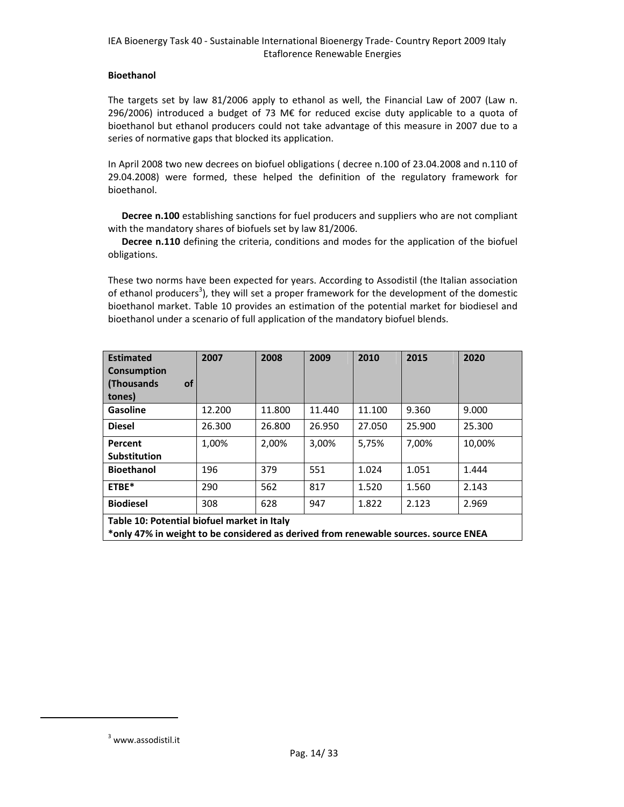#### **Bioethanol**

The targets set by law 81/2006 apply to ethanol as well, the Financial Law of 2007 (Law n. 296/2006) introduced a budget of 73 M€ for reduced excise duty applicable to a quota of bioethanol but ethanol producers could not take advantage of this measure in 2007 due to a series of normative gaps that blocked its application.

In April 2008 two new decrees on biofuel obligations ( decree n.100 of 23.04.2008 and n.110 of 29.04.2008) were formed, these helped the definition of the regulatory framework for bioethanol.

**Decree n.100** establishing sanctions for fuel producers and suppliers who are not compliant with the mandatory shares of biofuels set by law 81/2006.

**Decree n.110** defining the criteria, conditions and modes for the application of the biofuel obligations.

These two norms have been expected for years. According to Assodistil (the Italian association of ethanol producers<sup>3</sup>), they will set a proper framework for the development of the domestic bioethanol market. Table 10 provides an estimation of the potential market for biodiesel and bioethanol under a scenario of full application of the mandatory biofuel blends.

| <b>Estimated</b><br><b>Consumption</b><br>(Thousands<br>οf<br>tones)                                                               | 2007   | 2008   | 2009   | 2010   | 2015   | 2020   |  |
|------------------------------------------------------------------------------------------------------------------------------------|--------|--------|--------|--------|--------|--------|--|
| Gasoline                                                                                                                           | 12.200 | 11.800 | 11.440 | 11.100 | 9.360  | 9.000  |  |
| <b>Diesel</b>                                                                                                                      | 26.300 | 26.800 | 26.950 | 27.050 | 25.900 | 25.300 |  |
| Percent                                                                                                                            | 1,00%  | 2,00%  | 3,00%  | 5,75%  | 7,00%  | 10.00% |  |
| <b>Substitution</b>                                                                                                                |        |        |        |        |        |        |  |
| <b>Bioethanol</b>                                                                                                                  | 196    | 379    | 551    | 1.024  | 1.051  | 1.444  |  |
| ETBE*                                                                                                                              | 290    | 562    | 817    | 1.520  | 1.560  | 2.143  |  |
| <b>Biodiesel</b>                                                                                                                   | 308    | 628    | 947    | 1.822  | 2.123  | 2.969  |  |
| Table 10: Potential biofuel market in Italy<br>*only 47% in weight to be considered as derived from renewable sources. source ENEA |        |        |        |        |        |        |  |

<sup>3</sup> www.assodistil.it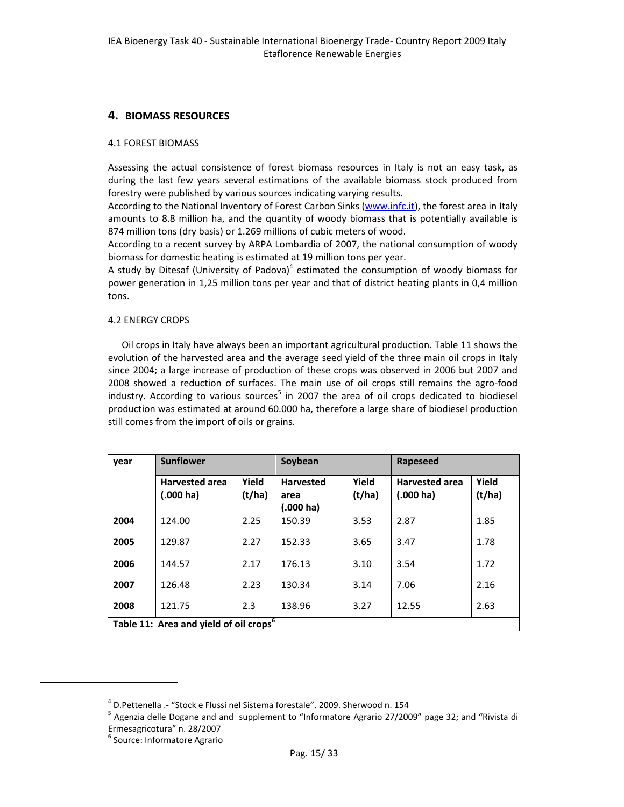### **4. BIOMASS RESOURCES**

#### 4.1 FOREST BIOMASS

Assessing the actual consistence of forest biomass resources in Italy is not an easy task, as during the last few years several estimations of the available biomass stock produced from forestry were published by various sources indicating varying results.

According to the National Inventory of Forest Carbon Sinks (www.infc.it), the forest area in Italy amounts to 8.8 million ha, and the quantity of woody biomass that is potentially available is 874 million tons (dry basis) or 1.269 millions of cubic meters of wood.

According to a recent survey by ARPA Lombardia of 2007, the national consumption of woody biomass for domestic heating is estimated at 19 million tons per year.

A study by Ditesaf (University of Padova) $4$  estimated the consumption of woody biomass for power generation in 1,25 million tons per year and that of district heating plants in 0,4 million tons.

#### 4.2 ENERGY CROPS

Oil crops in Italy have always been an important agricultural production. Table 11 shows the evolution of the harvested area and the average seed yield of the three main oil crops in Italy since 2004; a large increase of production of these crops was observed in 2006 but 2007 and 2008 showed a reduction of surfaces. The main use of oil crops still remains the agro‐food industry. According to various sources<sup>5</sup> in 2007 the area of oil crops dedicated to biodiesel production was estimated at around 60.000 ha, therefore a large share of biodiesel production still comes from the import of oils or grains.

| year | <b>Sunflower</b>                                   |                 | Soybean                                         |                 | Rapeseed                                     |                 |
|------|----------------------------------------------------|-----------------|-------------------------------------------------|-----------------|----------------------------------------------|-----------------|
|      | <b>Harvested area</b><br>$(.000 \text{ ha})$       | Yield<br>(t/ha) | <b>Harvested</b><br>area<br>$(.000 \text{ ha})$ | Yield<br>(t/ha) | <b>Harvested area</b><br>$(.000 \text{ ha})$ | Yield<br>(t/ha) |
| 2004 | 124.00                                             | 2.25            | 150.39                                          | 3.53            | 2.87                                         | 1.85            |
| 2005 | 129.87                                             | 2.27            | 152.33                                          | 3.65            | 3.47                                         | 1.78            |
| 2006 | 144.57                                             | 2.17            | 176.13                                          | 3.10            | 3.54                                         | 1.72            |
| 2007 | 126.48                                             | 2.23            | 130.34                                          | 3.14            | 7.06                                         | 2.16            |
| 2008 | 121.75                                             | 2.3             | 138.96                                          | 3.27            | 12.55                                        | 2.63            |
|      | Table 11: Area and yield of oil crops <sup>6</sup> |                 |                                                 |                 |                                              |                 |

<sup>&</sup>lt;sup>4</sup> D.Pettenella .- "Stock e Flussi nel Sistema forestale". 2009. Sherwood n. 154<br><sup>5</sup> Agenzia delle Dogane and and supplement to "Informatore Agrario 27/2009" page 32; and "Rivista di<br>Ermesagricotura" n. 28/2007

 $6$  Source: Informatore Agrario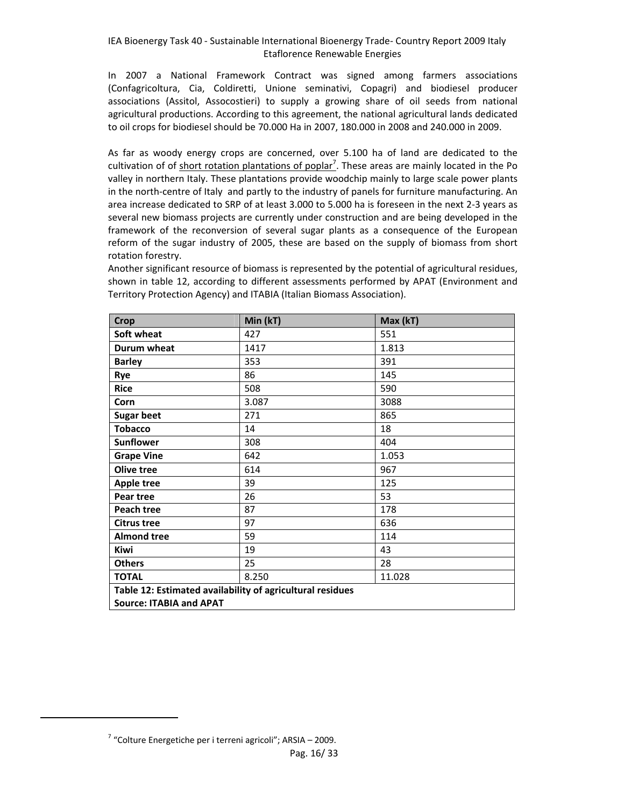In 2007 a National Framework Contract was signed among farmers associations (Confagricoltura, Cia, Coldiretti, Unione seminativi, Copagri) and biodiesel producer associations (Assitol, Assocostieri) to supply a growing share of oil seeds from national agricultural productions. According to this agreement, the national agricultural lands dedicated to oil crops for biodiesel should be 70.000 Ha in 2007, 180.000 in 2008 and 240.000 in 2009.

As far as woody energy crops are concerned, over 5.100 ha of land are dedicated to the cultivation of of short rotation plantations of poplar<sup>7</sup>. These areas are mainly located in the Po valley in northern Italy. These plantations provide woodchip mainly to large scale power plants in the north-centre of Italy and partly to the industry of panels for furniture manufacturing. An area increase dedicated to SRP of at least 3.000 to 5.000 ha is foreseen in the next 2‐3 years as several new biomass projects are currently under construction and are being developed in the framework of the reconversion of several sugar plants as a consequence of the European reform of the sugar industry of 2005, these are based on the supply of biomass from short rotation forestry.

Another significant resource of biomass is represented by the potential of agricultural residues, shown in table 12, according to different assessments performed by APAT (Environment and Territory Protection Agency) and ITABIA (Italian Biomass Association).

| <b>Crop</b>                                               | Min (kT)        | Max (kT) |  |
|-----------------------------------------------------------|-----------------|----------|--|
| Soft wheat                                                | 427             | 551      |  |
| Durum wheat                                               | 1417            | 1.813    |  |
| <b>Barley</b>                                             | 353             | 391      |  |
| Rye                                                       | 86              | 145      |  |
| <b>Rice</b>                                               | 508             | 590      |  |
| Corn                                                      | 3.087           | 3088     |  |
| <b>Sugar beet</b>                                         | 271             | 865      |  |
| <b>Tobacco</b>                                            | 14              | 18       |  |
| <b>Sunflower</b>                                          | 308             | 404      |  |
| <b>Grape Vine</b>                                         | 642             | 1.053    |  |
| Olive tree                                                | 614             | 967      |  |
| <b>Apple tree</b>                                         | 39              | 125      |  |
| Pear tree                                                 | 26              | 53       |  |
| Peach tree                                                | 87              | 178      |  |
| <b>Citrus tree</b>                                        | 97              | 636      |  |
| <b>Almond tree</b>                                        | 59              | 114      |  |
| Kiwi                                                      | 19              | 43       |  |
| <b>Others</b>                                             | 25              | 28       |  |
| <b>TOTAL</b>                                              | 8.250<br>11.028 |          |  |
| Table 12: Estimated availability of agricultural residues |                 |          |  |
| <b>Source: ITABIA and APAT</b>                            |                 |          |  |

Pag. 16/ 33  $7$  "Colture Energetiche per i terreni agricoli"; ARSIA – 2009.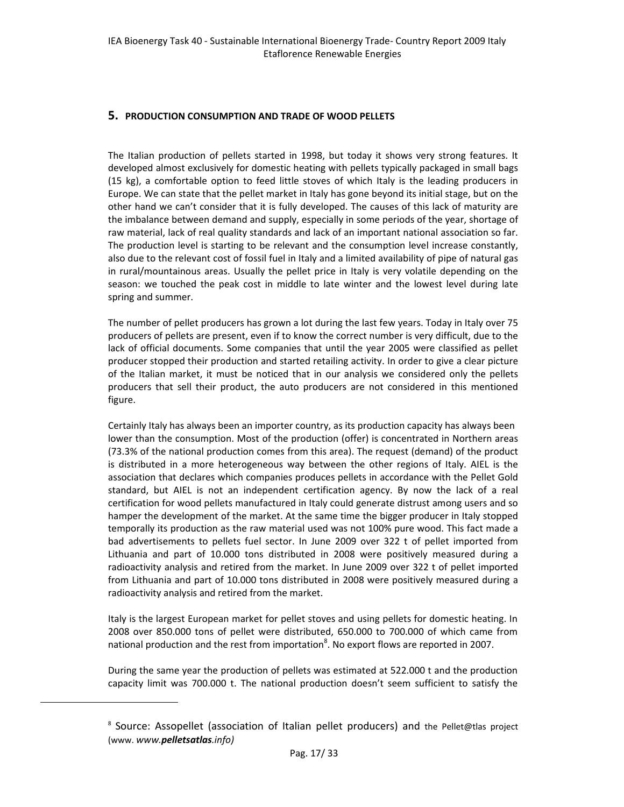#### **5. PRODUCTION CONSUMPTION AND TRADE OF WOOD PELLETS**

The Italian production of pellets started in 1998, but today it shows very strong features. It developed almost exclusively for domestic heating with pellets typically packaged in small bags (15 kg), a comfortable option to feed little stoves of which Italy is the leading producers in Europe. We can state that the pellet market in Italy has gone beyond its initial stage, but on the other hand we can't consider that it is fully developed. The causes of this lack of maturity are the imbalance between demand and supply, especially in some periods of the year, shortage of raw material, lack of real quality standards and lack of an important national association so far. The production level is starting to be relevant and the consumption level increase constantly, also due to the relevant cost of fossil fuel in Italy and a limited availability of pipe of natural gas in rural/mountainous areas. Usually the pellet price in Italy is very volatile depending on the season: we touched the peak cost in middle to late winter and the lowest level during late spring and summer.

The number of pellet producers has grown a lot during the last few years. Today in Italy over 75 producers of pellets are present, even if to know the correct number is very difficult, due to the lack of official documents. Some companies that until the year 2005 were classified as pellet producer stopped their production and started retailing activity. In order to give a clear picture of the Italian market, it must be noticed that in our analysis we considered only the pellets producers that sell their product, the auto producers are not considered in this mentioned figure.

Certainly Italy has always been an importer country, as its production capacity has always been lower than the consumption. Most of the production (offer) is concentrated in Northern areas (73.3% of the national production comes from this area). The request (demand) of the product is distributed in a more heterogeneous way between the other regions of Italy. AIEL is the association that declares which companies produces pellets in accordance with the Pellet Gold standard, but AIEL is not an independent certification agency. By now the lack of a real certification for wood pellets manufactured in Italy could generate distrust among users and so hamper the development of the market. At the same time the bigger producer in Italy stopped temporally its production as the raw material used was not 100% pure wood. This fact made a bad advertisements to pellets fuel sector. In June 2009 over 322 t of pellet imported from Lithuania and part of 10.000 tons distributed in 2008 were positively measured during a radioactivity analysis and retired from the market. In June 2009 over 322 t of pellet imported from Lithuania and part of 10.000 tons distributed in 2008 were positively measured during a radioactivity analysis and retired from the market.

Italy is the largest European market for pellet stoves and using pellets for domestic heating. In 2008 over 850.000 tons of pellet were distributed, 650.000 to 700.000 of which came from national production and the rest from importation<sup>8</sup>. No export flows are reported in 2007.

During the same year the production of pellets was estimated at 522.000 t and the production capacity limit was 700.000 t. The national production doesn't seem sufficient to satisfy the

<sup>8</sup> Source: Assopellet (association of Italian pellet producers) and the Pellet@tlas project (www. *www.pelletsatlas.info)*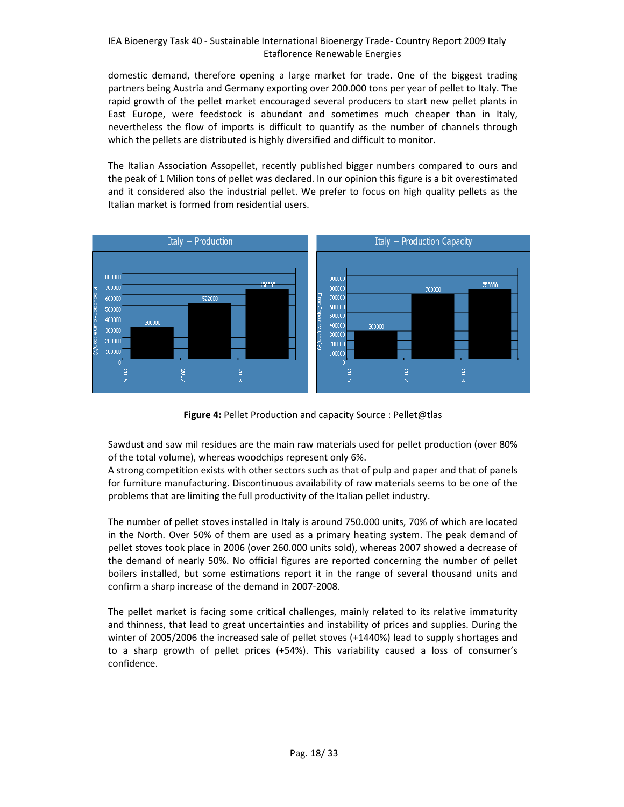domestic demand, therefore opening a large market for trade. One of the biggest trading partners being Austria and Germany exporting over 200.000 tons per year of pellet to Italy. The rapid growth of the pellet market encouraged several producers to start new pellet plants in East Europe, were feedstock is abundant and sometimes much cheaper than in Italy, nevertheless the flow of imports is difficult to quantify as the number of channels through which the pellets are distributed is highly diversified and difficult to monitor.

The Italian Association Assopellet, recently published bigger numbers compared to ours and the peak of 1 Milion tons of pellet was declared. In our opinion this figure is a bit overestimated and it considered also the industrial pellet. We prefer to focus on high quality pellets as the Italian market is formed from residential users.



**Figure 4:** Pellet Production and capacity Source : Pellet@tlas

Sawdust and saw mil residues are the main raw materials used for pellet production (over 80% of the total volume), whereas woodchips represent only 6%.

A strong competition exists with other sectors such as that of pulp and paper and that of panels for furniture manufacturing. Discontinuous availability of raw materials seems to be one of the problems that are limiting the full productivity of the Italian pellet industry.

The number of pellet stoves installed in Italy is around 750.000 units, 70% of which are located in the North. Over 50% of them are used as a primary heating system. The peak demand of pellet stoves took place in 2006 (over 260.000 units sold), whereas 2007 showed a decrease of the demand of nearly 50%. No official figures are reported concerning the number of pellet boilers installed, but some estimations report it in the range of several thousand units and confirm a sharp increase of the demand in 2007‐2008.

The pellet market is facing some critical challenges, mainly related to its relative immaturity and thinness, that lead to great uncertainties and instability of prices and supplies. During the winter of 2005/2006 the increased sale of pellet stoves (+1440%) lead to supply shortages and to a sharp growth of pellet prices (+54%). This variability caused a loss of consumer's confidence.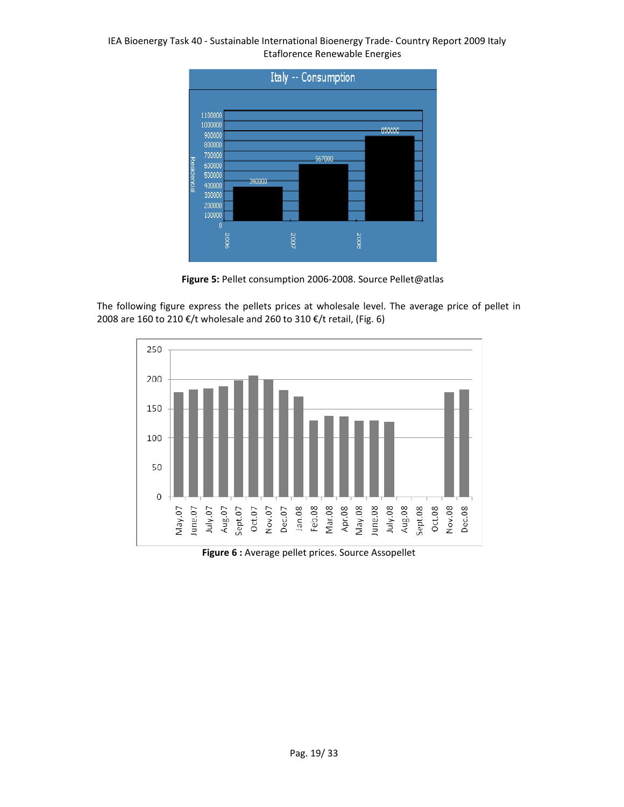

**Figure 5:** Pellet consumption 2006‐2008. Source Pellet@atlas

The following figure express the pellets prices at wholesale level. The average price of pellet in 2008 are 160 to 210 €/t wholesale and 260 to 310 €/t retail, (Fig. 6)

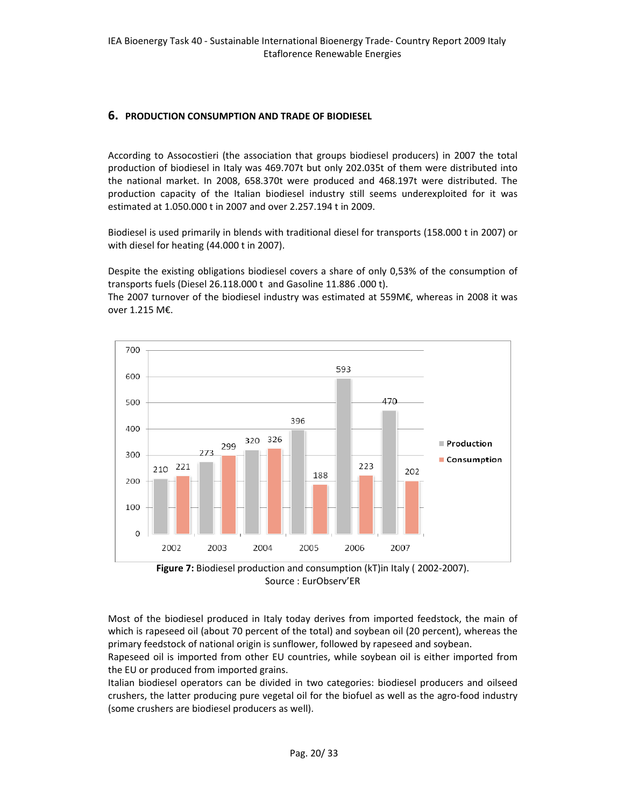### **6. PRODUCTION CONSUMPTION AND TRADE OF BIODIESEL**

According to Assocostieri (the association that groups biodiesel producers) in 2007 the total production of biodiesel in Italy was 469.707t but only 202.035t of them were distributed into the national market. In 2008, 658.370t were produced and 468.197t were distributed. The production capacity of the Italian biodiesel industry still seems underexploited for it was estimated at 1.050.000 t in 2007 and over 2.257.194 t in 2009.

Biodiesel is used primarily in blends with traditional diesel for transports (158.000 t in 2007) or with diesel for heating (44.000 t in 2007).

Despite the existing obligations biodiesel covers a share of only 0,53% of the consumption of transports fuels (Diesel 26.118.000 t and Gasoline 11.886 .000 t).

The 2007 turnover of the biodiesel industry was estimated at 559M€, whereas in 2008 it was over 1.215 M€.



Source : EurObserv'ER

Most of the biodiesel produced in Italy today derives from imported feedstock, the main of which is rapeseed oil (about 70 percent of the total) and soybean oil (20 percent), whereas the primary feedstock of national origin is sunflower, followed by rapeseed and soybean.

Rapeseed oil is imported from other EU countries, while soybean oil is either imported from the EU or produced from imported grains.

Italian biodiesel operators can be divided in two categories: biodiesel producers and oilseed crushers, the latter producing pure vegetal oil for the biofuel as well as the agro-food industry (some crushers are biodiesel producers as well).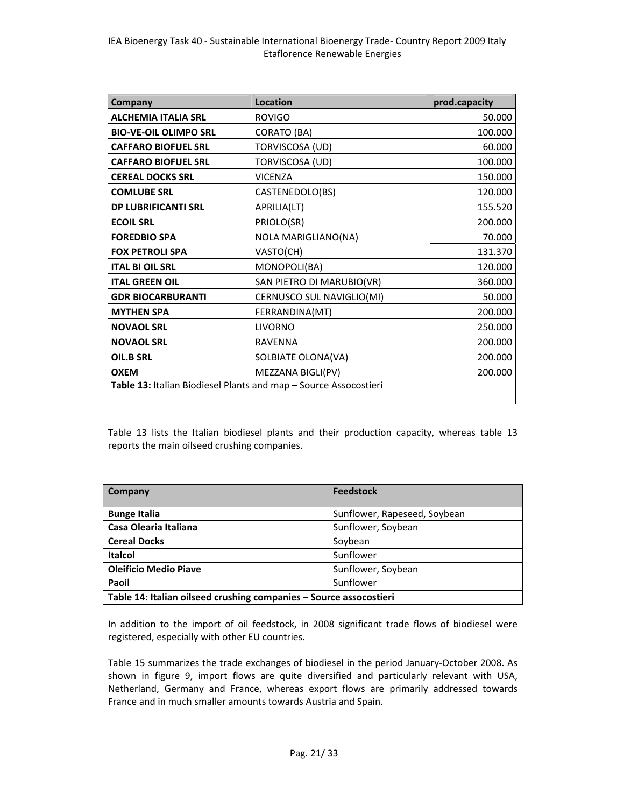| Company                                                          | <b>Location</b>           | prod.capacity |
|------------------------------------------------------------------|---------------------------|---------------|
| <b>ALCHEMIA ITALIA SRL</b>                                       | <b>ROVIGO</b>             | 50.000        |
| <b>BIO-VE-OIL OLIMPO SRL</b>                                     | <b>CORATO (BA)</b>        | 100.000       |
| <b>CAFFARO BIOFUEL SRL</b>                                       | <b>TORVISCOSA (UD)</b>    | 60.000        |
| <b>CAFFARO BIOFUEL SRL</b>                                       | <b>TORVISCOSA (UD)</b>    | 100.000       |
| <b>CEREAL DOCKS SRL</b>                                          | <b>VICENZA</b>            | 150.000       |
| <b>COMLUBE SRL</b>                                               | CASTENEDOLO(BS)           | 120.000       |
| <b>DP LUBRIFICANTI SRL</b>                                       | APRILIA(LT)               | 155.520       |
| <b>ECOIL SRL</b>                                                 | PRIOLO(SR)                | 200.000       |
| <b>FOREDBIO SPA</b>                                              | NOLA MARIGLIANO(NA)       | 70.000        |
| <b>FOX PETROLI SPA</b>                                           | VASTO(CH)                 | 131.370       |
| <b>ITAL BI OIL SRL</b>                                           | MONOPOLI(BA)              | 120.000       |
| <b>ITAL GREEN OIL</b>                                            | SAN PIETRO DI MARUBIO(VR) | 360.000       |
| <b>GDR BIOCARBURANTI</b>                                         | CERNUSCO SUL NAVIGLIO(MI) | 50.000        |
| <b>MYTHEN SPA</b>                                                | FERRANDINA(MT)            | 200.000       |
| <b>NOVAOL SRL</b>                                                | <b>LIVORNO</b>            | 250.000       |
| <b>NOVAOL SRL</b>                                                | <b>RAVENNA</b>            | 200.000       |
| OIL.B SRL                                                        | SOLBIATE OLONA(VA)        | 200.000       |
| <b>OXEM</b>                                                      | MEZZANA BIGLI(PV)         | 200.000       |
| Table 13: Italian Biodiesel Plants and map - Source Assocostieri |                           |               |

Table 13 lists the Italian biodiesel plants and their production capacity, whereas table 13 reports the main oilseed crushing companies.

| Company                                                            | <b>Feedstock</b>             |  |
|--------------------------------------------------------------------|------------------------------|--|
| <b>Bunge Italia</b>                                                | Sunflower, Rapeseed, Soybean |  |
| Casa Olearia Italiana                                              | Sunflower, Soybean           |  |
| <b>Cereal Docks</b>                                                | Soybean                      |  |
| <b>Italcol</b>                                                     | Sunflower                    |  |
| <b>Oleificio Medio Piave</b>                                       | Sunflower, Soybean           |  |
| Paoil                                                              | Sunflower                    |  |
| Table 14: Italian oilseed crushing companies - Source assocostieri |                              |  |

In addition to the import of oil feedstock, in 2008 significant trade flows of biodiesel were registered, especially with other EU countries.

Table 15 summarizes the trade exchanges of biodiesel in the period January‐October 2008. As shown in figure 9, import flows are quite diversified and particularly relevant with USA, Netherland, Germany and France, whereas export flows are primarily addressed towards France and in much smaller amounts towards Austria and Spain.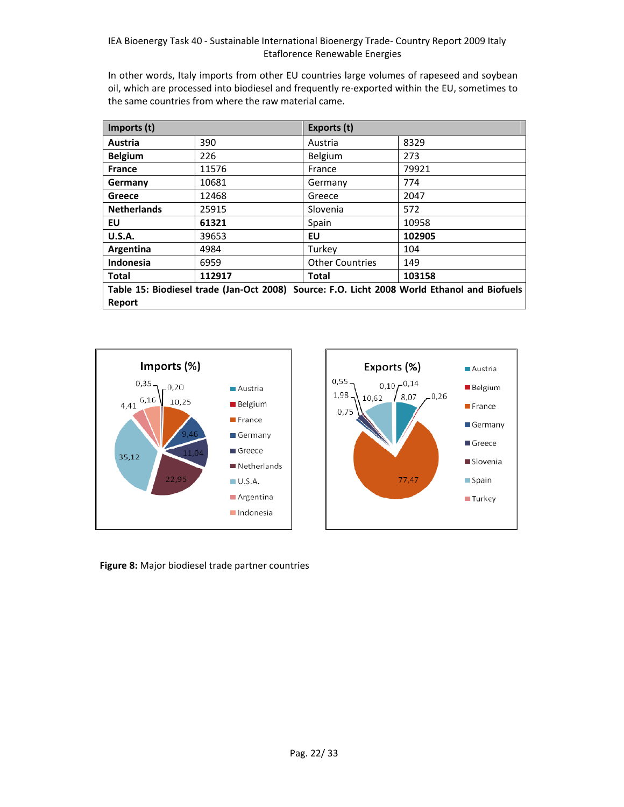In other words, Italy imports from other EU countries large volumes of rapeseed and soybean oil, which are processed into biodiesel and frequently re‐exported within the EU, sometimes to the same countries from where the raw material came.

| Imports (t)                                                                                 |        | Exports (t)            |        |
|---------------------------------------------------------------------------------------------|--------|------------------------|--------|
| Austria                                                                                     | 390    | Austria                | 8329   |
| <b>Belgium</b>                                                                              | 226    | <b>Belgium</b>         | 273    |
| <b>France</b>                                                                               | 11576  | France                 | 79921  |
| Germany                                                                                     | 10681  | Germany                | 774    |
| Greece                                                                                      | 12468  | Greece                 | 2047   |
| <b>Netherlands</b>                                                                          | 25915  | Slovenia               | 572    |
| EU                                                                                          | 61321  | Spain                  | 10958  |
| <b>U.S.A.</b>                                                                               | 39653  | EU                     | 102905 |
| Argentina                                                                                   | 4984   | Turkey                 | 104    |
| Indonesia                                                                                   | 6959   | <b>Other Countries</b> | 149    |
| <b>Total</b>                                                                                | 112917 | <b>Total</b>           | 103158 |
| Table 15: Biodiesel trade (Jan-Oct 2008) Source: F.O. Licht 2008 World Ethanol and Biofuels |        |                        |        |
| Report                                                                                      |        |                        |        |





 **Figure 8:** Major biodiesel trade partner countries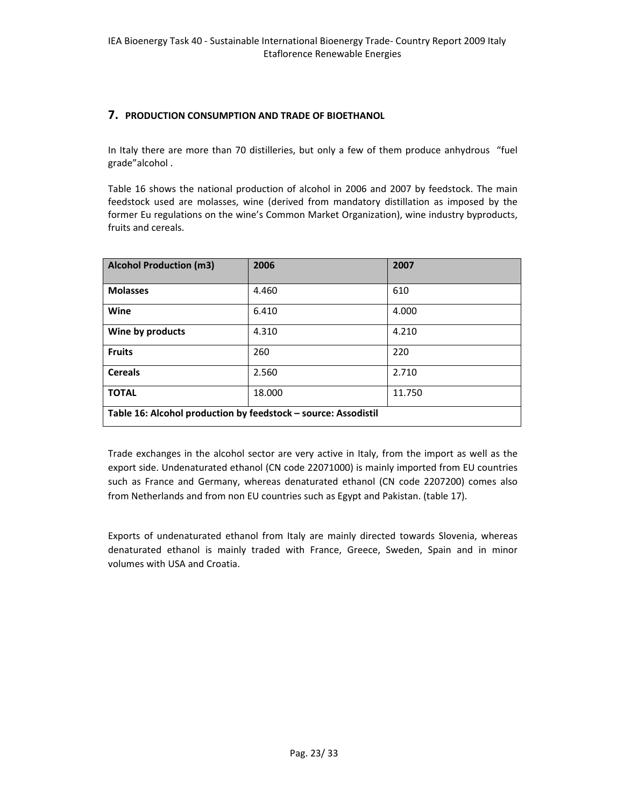#### **7. PRODUCTION CONSUMPTION AND TRADE OF BIOETHANOL**

In Italy there are more than 70 distilleries, but only a few of them produce anhydrous "fuel grade"alcohol .

Table 16 shows the national production of alcohol in 2006 and 2007 by feedstock. The main feedstock used are molasses, wine (derived from mandatory distillation as imposed by the former Eu regulations on the wine's Common Market Organization), wine industry byproducts, fruits and cereals.

| <b>Alcohol Production (m3)</b>                                 | 2006   | 2007   |
|----------------------------------------------------------------|--------|--------|
| <b>Molasses</b>                                                | 4.460  | 610    |
| Wine                                                           | 6.410  | 4.000  |
| Wine by products                                               | 4.310  | 4.210  |
| <b>Fruits</b>                                                  | 260    | 220    |
| <b>Cereals</b>                                                 | 2.560  | 2.710  |
| <b>TOTAL</b>                                                   | 18.000 | 11.750 |
| Table 16: Alcohol production by feedstock - source: Assodistil |        |        |

Trade exchanges in the alcohol sector are very active in Italy, from the import as well as the export side. Undenaturated ethanol (CN code 22071000) is mainly imported from EU countries such as France and Germany, whereas denaturated ethanol (CN code 2207200) comes also from Netherlands and from non EU countries such as Egypt and Pakistan. (table 17).

Exports of undenaturated ethanol from Italy are mainly directed towards Slovenia, whereas denaturated ethanol is mainly traded with France, Greece, Sweden, Spain and in minor volumes with USA and Croatia.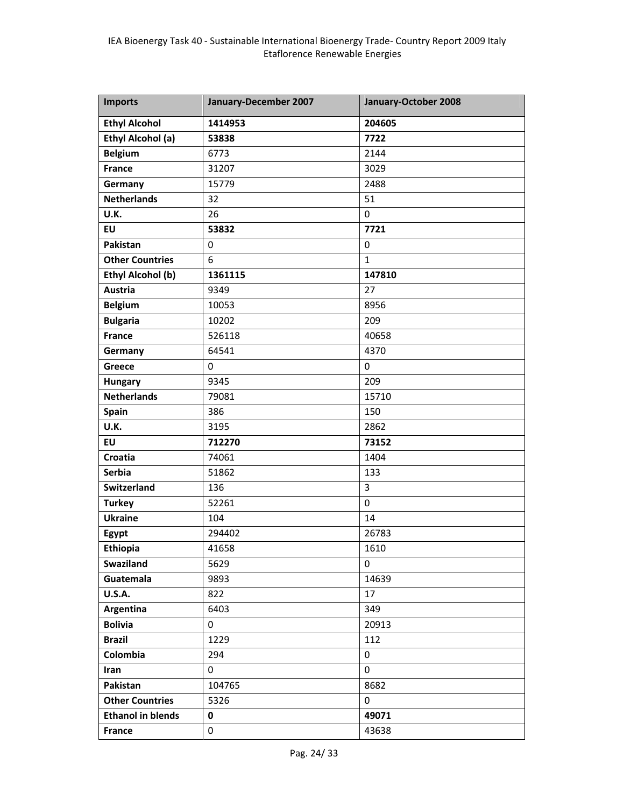| <b>Imports</b>           | January-December 2007 | January-October 2008 |
|--------------------------|-----------------------|----------------------|
| <b>Ethyl Alcohol</b>     | 1414953               | 204605               |
| Ethyl Alcohol (a)        | 53838                 | 7722                 |
| <b>Belgium</b>           | 6773                  | 2144                 |
| France                   | 31207                 | 3029                 |
| Germany                  | 15779                 | 2488                 |
| <b>Netherlands</b>       | 32                    | 51                   |
| U.K.                     | 26                    | 0                    |
| <b>EU</b>                | 53832                 | 7721                 |
| Pakistan                 | 0                     | 0                    |
| <b>Other Countries</b>   | 6                     | $\mathbf{1}$         |
| <b>Ethyl Alcohol (b)</b> | 1361115               | 147810               |
| <b>Austria</b>           | 9349                  | 27                   |
| <b>Belgium</b>           | 10053                 | 8956                 |
| <b>Bulgaria</b>          | 10202                 | 209                  |
| <b>France</b>            | 526118                | 40658                |
| Germany                  | 64541                 | 4370                 |
| Greece                   | $\mathbf 0$           | $\mathbf 0$          |
| <b>Hungary</b>           | 9345                  | 209                  |
| <b>Netherlands</b>       | 79081                 | 15710                |
| Spain                    | 386                   | 150                  |
| U.K.                     | 3195                  | 2862                 |
| <b>EU</b>                | 712270                | 73152                |
| <b>Croatia</b>           | 74061                 | 1404                 |
| <b>Serbia</b>            | 51862                 | 133                  |
| Switzerland              | 136                   | 3                    |
| <b>Turkey</b>            | 52261                 | $\mathbf 0$          |
| <b>Ukraine</b>           | 104                   | 14                   |
| Egypt                    | 294402                | 26783                |
| Ethiopia                 | 41658                 | 1610                 |
| Swaziland                | 5629                  | 0                    |
| Guatemala                | 9893                  | 14639                |
| <b>U.S.A.</b>            | 822                   | 17                   |
| Argentina                | 6403                  | 349                  |
| <b>Bolivia</b>           | $\mathbf{0}$          | 20913                |
| <b>Brazil</b>            | 1229                  | 112                  |
| Colombia                 | 294                   | 0                    |
| Iran                     | $\mathbf{0}$          | 0                    |
| Pakistan                 | 104765                | 8682                 |
| <b>Other Countries</b>   | 5326                  | 0                    |
| <b>Ethanol in blends</b> | 0                     | 49071                |
| <b>France</b>            | 0                     | 43638                |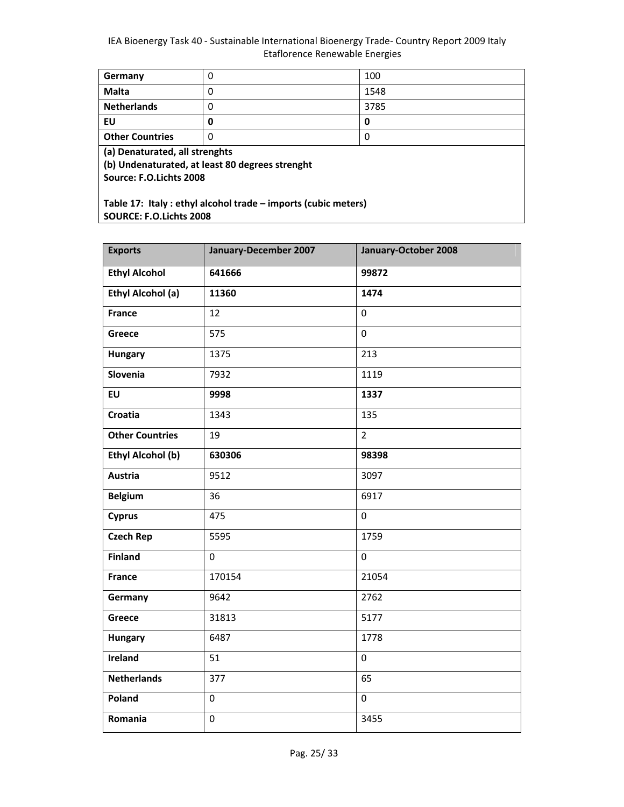| Germany                                                       | 0 | 100  |
|---------------------------------------------------------------|---|------|
| <b>Malta</b>                                                  | 0 | 1548 |
| <b>Netherlands</b>                                            | 0 | 3785 |
| EU                                                            | 0 | 0    |
| <b>Other Countries</b>                                        | 0 | 0    |
| (a) Denaturated, all strenghts                                |   |      |
| (b) Undenaturated, at least 80 degrees strenght               |   |      |
| Source: F.O.Lichts 2008                                       |   |      |
|                                                               |   |      |
| Table 17: Italy: ethyl alcohol trade - imports (cubic meters) |   |      |
| <b>SOURCE: F.O.Lichts 2008</b>                                |   |      |

| <b>Exports</b>           | January-December 2007 | January-October 2008 |
|--------------------------|-----------------------|----------------------|
| <b>Ethyl Alcohol</b>     | 641666                | 99872                |
| <b>Ethyl Alcohol (a)</b> | 11360                 | 1474                 |
| <b>France</b>            | 12                    | $\overline{0}$       |
| Greece                   | 575                   | $\mathbf 0$          |
| <b>Hungary</b>           | 1375                  | 213                  |
| Slovenia                 | $\frac{1}{7932}$      | 1119                 |
| EU                       | 9998                  | 1337                 |
| <b>Croatia</b>           | 1343                  | 135                  |
| <b>Other Countries</b>   | 19                    | $\overline{2}$       |
| <b>Ethyl Alcohol (b)</b> | 630306                | 98398                |
| <b>Austria</b>           | 9512                  | 3097                 |
| <b>Belgium</b>           | 36                    | 6917                 |
| <b>Cyprus</b>            | 475                   | $\overline{0}$       |
| <b>Czech Rep</b>         | 5595                  | 1759                 |
| <b>Finland</b>           | $\mathbf 0$           | $\Omega$             |
| <b>France</b>            | 170154                | 21054                |
| Germany                  | 9642                  | 2762                 |
| <b>Greece</b>            | 31813                 | 5177                 |
| <b>Hungary</b>           | 6487                  | 1778                 |
| Ireland                  | 51                    | $\mathbf 0$          |
| <b>Netherlands</b>       | 377                   | 65                   |
| Poland                   | $\mathbf 0$           | $\mathbf 0$          |
| Romania                  | $\mathbf 0$           | 3455                 |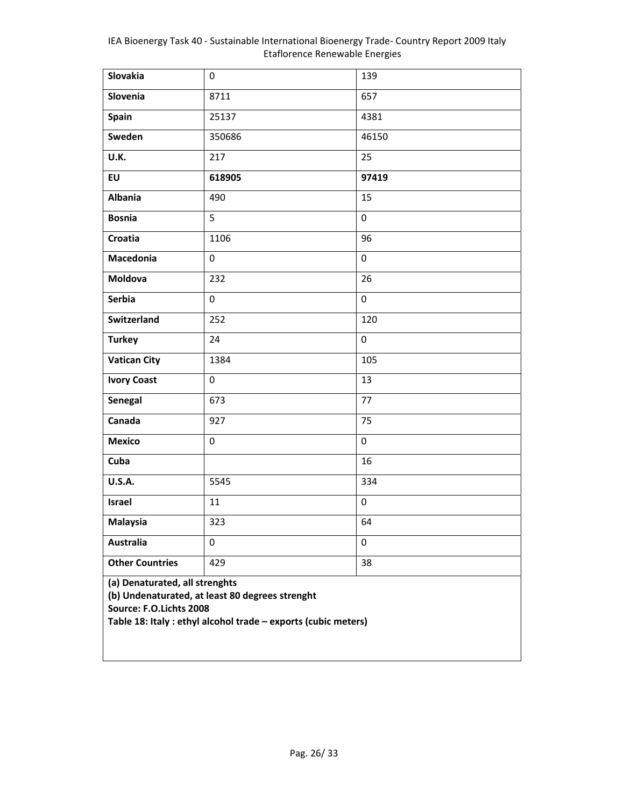| Slovakia                                                                                                                                                                       | $\mathbf 0$ | 139         |
|--------------------------------------------------------------------------------------------------------------------------------------------------------------------------------|-------------|-------------|
| Slovenia                                                                                                                                                                       | 8711        | 657         |
| Spain                                                                                                                                                                          | 25137       | 4381        |
| Sweden                                                                                                                                                                         | 350686      | 46150       |
| U.K.                                                                                                                                                                           | 217         | 25          |
| EU                                                                                                                                                                             | 618905      | 97419       |
| <b>Albania</b>                                                                                                                                                                 | 490         | 15          |
| <b>Bosnia</b>                                                                                                                                                                  | 5           | $\pmb{0}$   |
| Croatia                                                                                                                                                                        | 1106        | 96          |
| Macedonia                                                                                                                                                                      | 0           | 0           |
| Moldova                                                                                                                                                                        | 232         | 26          |
| <b>Serbia</b>                                                                                                                                                                  | 0           | $\mathbf 0$ |
| Switzerland                                                                                                                                                                    | 252         | 120         |
| <b>Turkey</b>                                                                                                                                                                  | 24          | $\mathbf 0$ |
| <b>Vatican City</b>                                                                                                                                                            | 1384        | 105         |
| <b>Ivory Coast</b>                                                                                                                                                             | 0           | 13          |
| Senegal                                                                                                                                                                        | 673         | 77          |
| Canada                                                                                                                                                                         | 927         | 75          |
| <b>Mexico</b>                                                                                                                                                                  | $\pmb{0}$   | $\pmb{0}$   |
| Cuba                                                                                                                                                                           |             | 16          |
| <b>U.S.A.</b>                                                                                                                                                                  | 5545        | 334         |
| Israel                                                                                                                                                                         | 11          | $\mathbf 0$ |
| Malaysia                                                                                                                                                                       | 323         | 64          |
| <b>Australia</b>                                                                                                                                                               | 0           | 0           |
| <b>Other Countries</b>                                                                                                                                                         | 429         | 38          |
| (a) Denaturated, all strenghts<br>(b) Undenaturated, at least 80 degrees strenght<br>Source: F.O.Lichts 2008<br>Table 18: Italy : ethyl alcohol trade - exports (cubic meters) |             |             |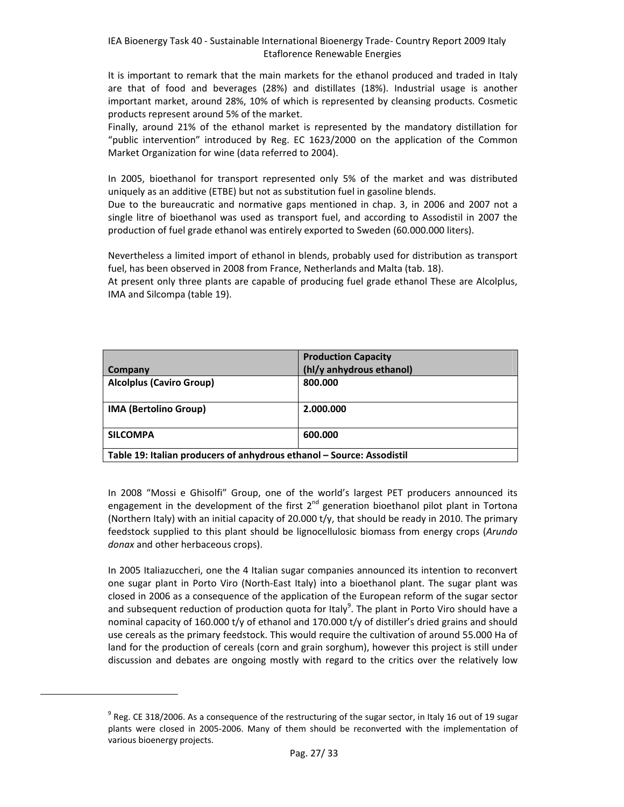It is important to remark that the main markets for the ethanol produced and traded in Italy are that of food and beverages (28%) and distillates (18%). Industrial usage is another important market, around 28%, 10% of which is represented by cleansing products. Cosmetic products represent around 5% of the market.

Finally, around 21% of the ethanol market is represented by the mandatory distillation for "public intervention" introduced by Reg. EC 1623/2000 on the application of the Common Market Organization for wine (data referred to 2004).

In 2005, bioethanol for transport represented only 5% of the market and was distributed uniquely as an additive (ETBE) but not as substitution fuel in gasoline blends.

Due to the bureaucratic and normative gaps mentioned in chap. 3, in 2006 and 2007 not a single litre of bioethanol was used as transport fuel, and according to Assodistil in 2007 the production of fuel grade ethanol was entirely exported to Sweden (60.000.000 liters).

Nevertheless a limited import of ethanol in blends, probably used for distribution as transport fuel, has been observed in 2008 from France, Netherlands and Malta (tab. 18).

At present only three plants are capable of producing fuel grade ethanol These are Alcolplus, IMA and Silcompa (table 19).

|                                                                       | <b>Production Capacity</b> |
|-----------------------------------------------------------------------|----------------------------|
| Company                                                               | (hl/y anhydrous ethanol)   |
| <b>Alcolplus (Caviro Group)</b>                                       | 800.000                    |
| <b>IMA (Bertolino Group)</b>                                          | 2.000.000                  |
| <b>SILCOMPA</b>                                                       | 600.000                    |
| Table 19: Italian producers of anhydrous ethanol - Source: Assodistil |                            |

In 2008 "Mossi e Ghisolfi" Group, one of the world's largest PET producers announced its engagement in the development of the first  $2<sup>nd</sup>$  generation bioethanol pilot plant in Tortona (Northern Italy) with an initial capacity of 20.000 t/y, that should be ready in 2010. The primary feedstock supplied to this plant should be lignocellulosic biomass from energy crops (*Arundo donax* and other herbaceous crops).

In 2005 Italiazuccheri, one the 4 Italian sugar companies announced its intention to reconvert one sugar plant in Porto Viro (North‐East Italy) into a bioethanol plant. The sugar plant was closed in 2006 as a consequence of the application of the European reform of the sugar sector and subsequent reduction of production quota for Italy<sup>9</sup>. The plant in Porto Viro should have a nominal capacity of 160.000 t/y of ethanol and 170.000 t/y of distiller's dried grains and should use cereals as the primary feedstock. This would require the cultivation of around 55.000 Ha of land for the production of cereals (corn and grain sorghum), however this project is still under discussion and debates are ongoing mostly with regard to the critics over the relatively low

 $9$  Reg. CE 318/2006. As a consequence of the restructuring of the sugar sector, in Italy 16 out of 19 sugar plants were closed in 2005‐2006. Many of them should be reconverted with the implementation of various bioenergy projects.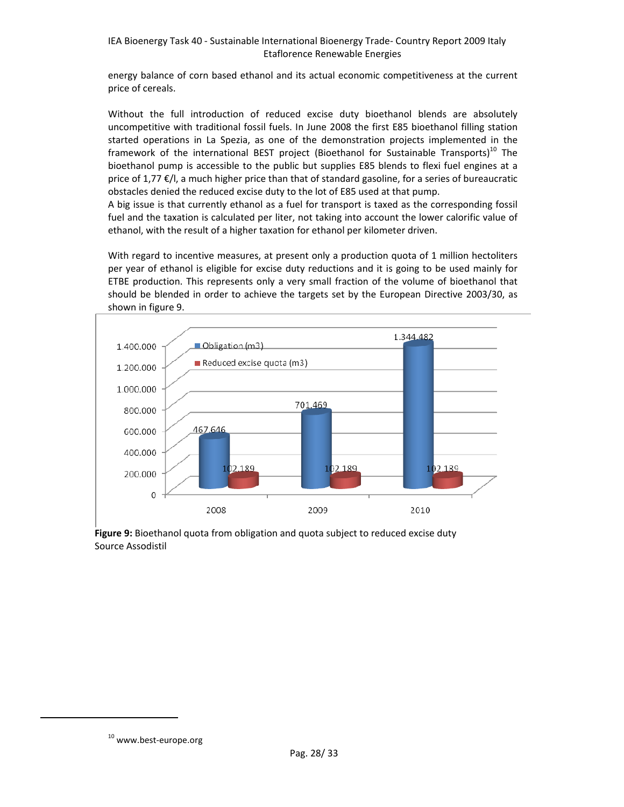energy balance of corn based ethanol and its actual economic competitiveness at the current price of cereals.

Without the full introduction of reduced excise duty bioethanol blends are absolutely uncompetitive with traditional fossil fuels. In June 2008 the first E85 bioethanol filling station started operations in La Spezia, as one of the demonstration projects implemented in the framework of the international BEST project (Bioethanol for Sustainable Transports)<sup>10</sup> The bioethanol pump is accessible to the public but supplies E85 blends to flexi fuel engines at a price of 1,77 €/l, a much higher price than that of standard gasoline, for a series of bureaucratic obstacles denied the reduced excise duty to the lot of E85 used at that pump.

A big issue is that currently ethanol as a fuel for transport is taxed as the corresponding fossil fuel and the taxation is calculated per liter, not taking into account the lower calorific value of ethanol, with the result of a higher taxation for ethanol per kilometer driven.

With regard to incentive measures, at present only a production quota of 1 million hectoliters per year of ethanol is eligible for excise duty reductions and it is going to be used mainly for ETBE production. This represents only a very small fraction of the volume of bioethanol that should be blended in order to achieve the targets set by the European Directive 2003/30, as shown in figure 9.



**Figure 9:** Bioethanol quota from obligation and quota subject to reduced excise duty Source Assodistil

10 www.best-europe.org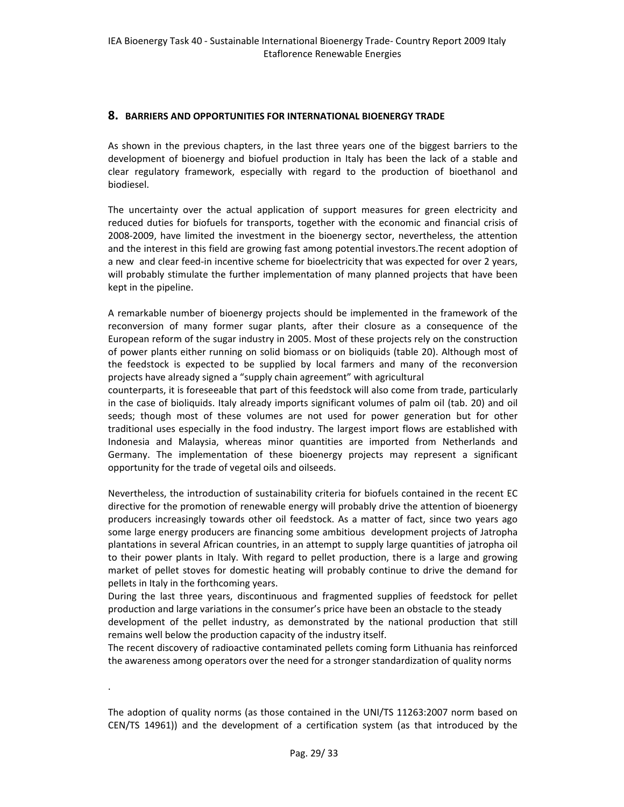#### **8. BARRIERS AND OPPORTUNITIES FOR INTERNATIONAL BIOENERGY TRADE**

As shown in the previous chapters, in the last three years one of the biggest barriers to the development of bioenergy and biofuel production in Italy has been the lack of a stable and clear regulatory framework, especially with regard to the production of bioethanol and biodiesel.

The uncertainty over the actual application of support measures for green electricity and reduced duties for biofuels for transports, together with the economic and financial crisis of 2008‐2009, have limited the investment in the bioenergy sector, nevertheless, the attention and the interest in this field are growing fast among potential investors.The recent adoption of a new and clear feed-in incentive scheme for bioelectricity that was expected for over 2 years, will probably stimulate the further implementation of many planned projects that have been kept in the pipeline.

A remarkable number of bioenergy projects should be implemented in the framework of the reconversion of many former sugar plants, after their closure as a consequence of the European reform of the sugar industry in 2005. Most of these projects rely on the construction of power plants either running on solid biomass or on bioliquids (table 20). Although most of the feedstock is expected to be supplied by local farmers and many of the reconversion projects have already signed a "supply chain agreement" with agricultural

counterparts, it is foreseeable that part of this feedstock will also come from trade, particularly in the case of bioliquids. Italy already imports significant volumes of palm oil (tab. 20) and oil seeds; though most of these volumes are not used for power generation but for other traditional uses especially in the food industry. The largest import flows are established with Indonesia and Malaysia, whereas minor quantities are imported from Netherlands and Germany. The implementation of these bioenergy projects may represent a significant opportunity for the trade of vegetal oils and oilseeds.

Nevertheless, the introduction of sustainability criteria for biofuels contained in the recent EC directive for the promotion of renewable energy will probably drive the attention of bioenergy producers increasingly towards other oil feedstock. As a matter of fact, since two years ago some large energy producers are financing some ambitious development projects of Jatropha plantations in several African countries, in an attempt to supply large quantities of jatropha oil to their power plants in Italy. With regard to pellet production, there is a large and growing market of pellet stoves for domestic heating will probably continue to drive the demand for pellets in Italy in the forthcoming years.

During the last three years, discontinuous and fragmented supplies of feedstock for pellet production and large variations in the consumer's price have been an obstacle to the steady development of the pellet industry, as demonstrated by the national production that still remains well below the production capacity of the industry itself.

The recent discovery of radioactive contaminated pellets coming form Lithuania has reinforced the awareness among operators over the need for a stronger standardization of quality norms

.

The adoption of quality norms (as those contained in the UNI/TS 11263:2007 norm based on CEN/TS 14961)) and the development of a certification system (as that introduced by the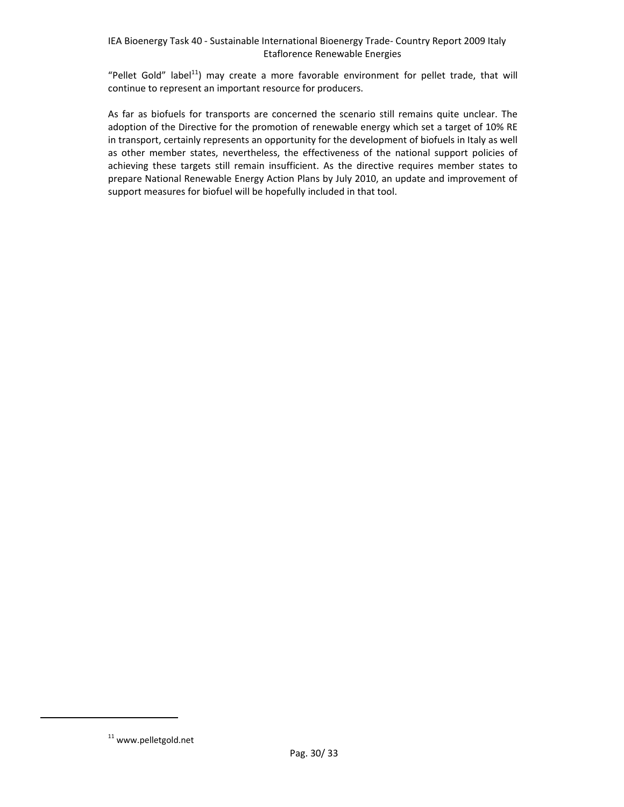"Pellet Gold" label<sup>11</sup>) may create a more favorable environment for pellet trade, that will continue to represent an important resource for producers.

As far as biofuels for transports are concerned the scenario still remains quite unclear. The adoption of the Directive for the promotion of renewable energy which set a target of 10% RE in transport, certainly represents an opportunity for the development of biofuels in Italy as well as other member states, nevertheless, the effectiveness of the national support policies of achieving these targets still remain insufficient. As the directive requires member states to prepare National Renewable Energy Action Plans by July 2010, an update and improvement of support measures for biofuel will be hopefully included in that tool.

 $11$  www.pelletgold.net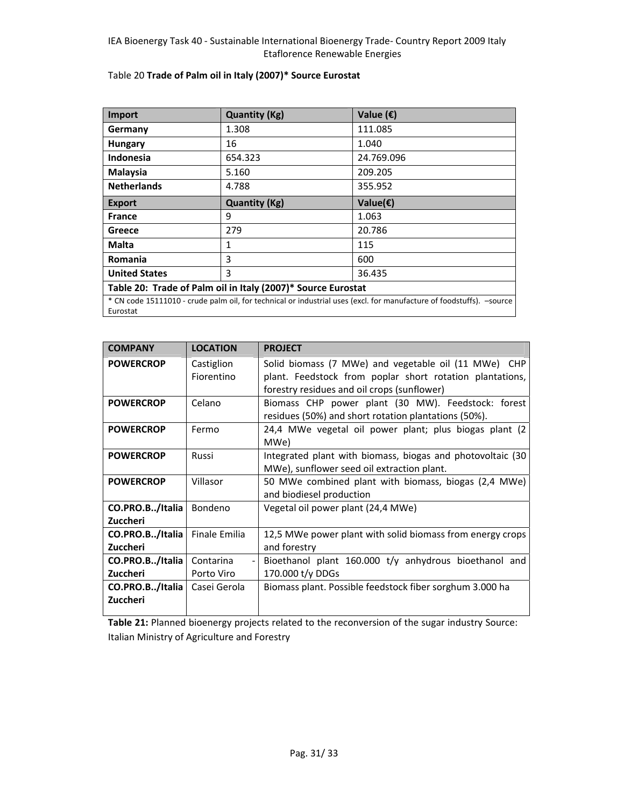| <b>Import</b>                                                                                                                    | <b>Quantity (Kg)</b> | Value $(\epsilon)$  |
|----------------------------------------------------------------------------------------------------------------------------------|----------------------|---------------------|
| Germany                                                                                                                          | 1.308                | 111.085             |
| <b>Hungary</b>                                                                                                                   | 16                   | 1.040               |
| <b>Indonesia</b>                                                                                                                 | 654.323              | 24.769.096          |
| <b>Malaysia</b>                                                                                                                  | 5.160                | 209.205             |
| <b>Netherlands</b>                                                                                                               | 4.788                | 355.952             |
| <b>Export</b>                                                                                                                    | <b>Quantity (Kg)</b> | Value( $\epsilon$ ) |
| <b>France</b>                                                                                                                    | 9                    | 1.063               |
| Greece                                                                                                                           | 279                  | 20.786              |
| Malta                                                                                                                            | $\mathbf{1}$         | 115                 |
| <b>Romania</b>                                                                                                                   | 3                    | 600                 |
| <b>United States</b>                                                                                                             | 3                    | 36.435              |
| Table 20: Trade of Palm oil in Italy (2007)* Source Eurostat                                                                     |                      |                     |
| * CN code 15111010 - crude palm oil, for technical or industrial uses (excl. for manufacture of foodstuffs). -source<br>Eurostat |                      |                     |

#### Table 20 **Trade of Palm oil in Italy (2007)\* Source Eurostat**

| <b>COMPANY</b>                     | <b>LOCATION</b>          | <b>PROJECT</b>                                                                                                                                                  |
|------------------------------------|--------------------------|-----------------------------------------------------------------------------------------------------------------------------------------------------------------|
| <b>POWERCROP</b>                   | Castiglion<br>Fiorentino | Solid biomass (7 MWe) and vegetable oil (11 MWe) CHP<br>plant. Feedstock from poplar short rotation plantations,<br>forestry residues and oil crops (sunflower) |
| <b>POWERCROP</b>                   | Celano                   | Biomass CHP power plant (30 MW). Feedstock: forest<br>residues (50%) and short rotation plantations (50%).                                                      |
| <b>POWERCROP</b>                   | Fermo                    | 24,4 MWe vegetal oil power plant; plus biogas plant (2)<br>MWe)                                                                                                 |
| <b>POWERCROP</b>                   | Russi                    | Integrated plant with biomass, biogas and photovoltaic (30<br>MWe), sunflower seed oil extraction plant.                                                        |
| <b>POWERCROP</b>                   | Villasor                 | 50 MWe combined plant with biomass, biogas (2,4 MWe)<br>and biodiesel production                                                                                |
| CO.PRO.B/Italia<br>Zuccheri        | Bondeno                  | Vegetal oil power plant (24,4 MWe)                                                                                                                              |
| CO.PRO.B/Italia<br><b>Zuccheri</b> | <b>Finale Emilia</b>     | 12,5 MWe power plant with solid biomass from energy crops<br>and forestry                                                                                       |
| CO.PRO.B/Italia                    | Contarina                | Bioethanol plant 160.000 t/y anhydrous bioethanol and                                                                                                           |
| Zuccheri                           | Porto Viro               | 170.000 t/y DDGs                                                                                                                                                |
| CO.PRO.B/Italia<br>Zuccheri        | Casei Gerola             | Biomass plant. Possible feedstock fiber sorghum 3.000 ha                                                                                                        |

**Table 21:** Planned bioenergy projects related to the reconversion of the sugar industry Source: Italian Ministry of Agriculture and Forestry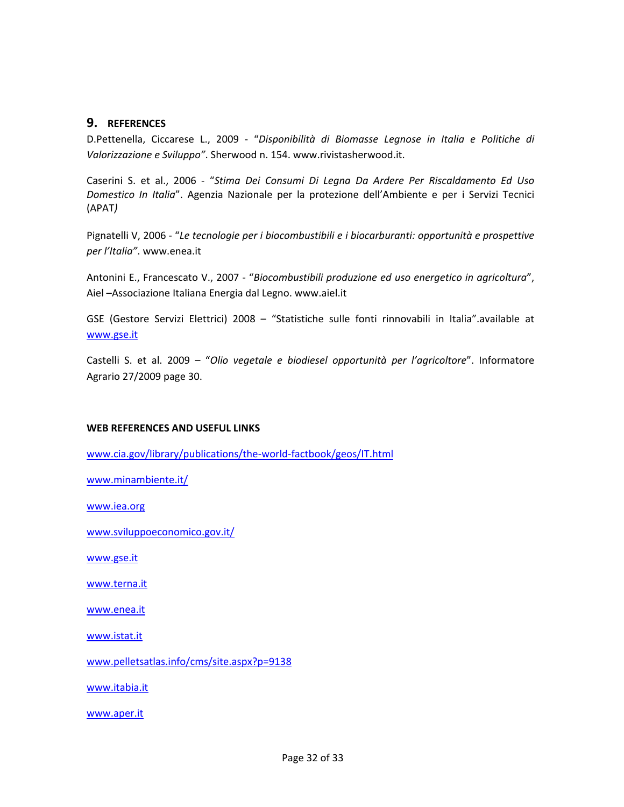### **9. REFERENCES**

D.Pettenella, Ciccarese L., 2009 ‐ "*Disponibilità di Biomasse Legnose in Italia e Politiche di Valorizzazione e Sviluppo"*. Sherwood n. 154. www.rivistasherwood.it.

Caserini S. et al., 2006 ‐ "*Stima Dei Consumi Di Legna Da Ardere Per Riscaldamento Ed Uso Domestico In Italia*". Agenzia Nazionale per la protezione dell'Ambiente e per i Servizi Tecnici (APAT*)*

Pignatelli V, 2006 ‐ "*Le tecnologie per i biocombustibili e i biocarburanti: opportunità e prospettive per l'Italia"*. www.enea.it

Antonini E., Francescato V., 2007 ‐ "*Biocombustibili produzione ed uso energetico in agricoltura*", Aiel –Associazione Italiana Energia dal Legno. www.aiel.it

GSE (Gestore Servizi Elettrici) 2008 – "Statistiche sulle fonti rinnovabili in Italia".available at www.gse.it

Castelli S. et al. 2009 – "*Olio vegetale e biodiesel opportunità per l'agricoltore*". Informatore Agrario 27/2009 page 30.

#### **WEB REFERENCES AND USEFUL LINKS**

www.cia.gov/library/publications/the‐world‐factbook/geos/IT.html

www.minambiente.it/

www.iea.org

www.sviluppoeconomico.gov.it/

www.gse.it

www.terna.it

www.enea.it

www.istat.it

www.pelletsatlas.info/cms/site.aspx?p=9138

www.itabia.it

www.aper.it